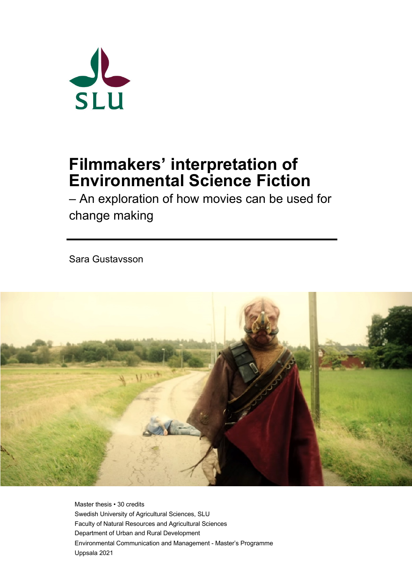

# **Filmmakers' interpretation of Environmental Science Fiction**

– An exploration of how movies can be used for change making

Sara Gustavsson



Master thesis • 30 credits Swedish University of Agricultural Sciences, SLU Faculty of Natural Resources and Agricultural Sciences Department of Urban and Rural Development Environmental Communication and Management - Master's Programme Uppsala 2021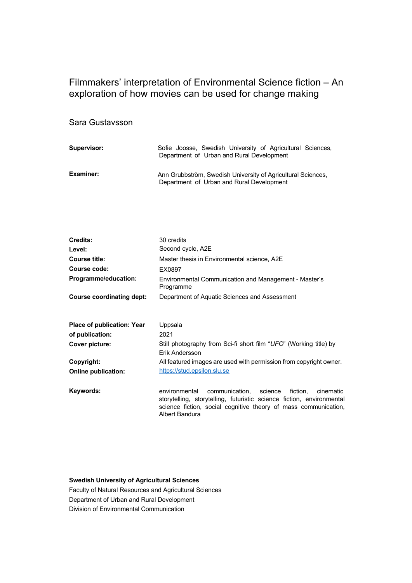### Filmmakers' interpretation of Environmental Science fiction – An exploration of how movies can be used for change making

#### Sara Gustavsson

| Supervisor:      | Sofie Joosse, Swedish University of Agricultural Sciences,<br>Department of Urban and Rural Development   |
|------------------|-----------------------------------------------------------------------------------------------------------|
| <b>Examiner:</b> | Ann Grubbström, Swedish University of Agricultural Sciences,<br>Department of Urban and Rural Development |

| <b>Credits:</b>                   | 30 credits                                                                                                                                                                                                                     |
|-----------------------------------|--------------------------------------------------------------------------------------------------------------------------------------------------------------------------------------------------------------------------------|
| Level:                            | Second cycle, A2E                                                                                                                                                                                                              |
| <b>Course title:</b>              | Master thesis in Environmental science, A2E                                                                                                                                                                                    |
| <b>Course code:</b>               | EX0897                                                                                                                                                                                                                         |
| <b>Programme/education:</b>       | Environmental Communication and Management - Master's<br>Programme                                                                                                                                                             |
| <b>Course coordinating dept:</b>  | Department of Aquatic Sciences and Assessment                                                                                                                                                                                  |
| <b>Place of publication: Year</b> | Uppsala                                                                                                                                                                                                                        |
| of publication:                   | 2021                                                                                                                                                                                                                           |
| Cover picture:                    | Still photography from Sci-fi short film "UFO" (Working title) by<br>Erik Andersson                                                                                                                                            |
| Copyright:                        | All featured images are used with permission from copyright owner.                                                                                                                                                             |
| <b>Online publication:</b>        | https://stud.epsilon.slu.se                                                                                                                                                                                                    |
| Keywords:                         | communication, science<br>environmental<br>fiction.<br>cinematic<br>storytelling, storytelling, futuristic science fiction, environmental<br>science fiction, social cognitive theory of mass communication,<br>Albert Bandura |

#### **Swedish University of Agricultural Sciences**

Faculty of Natural Resources and Agricultural Sciences Department of Urban and Rural Development Division of Environmental Communication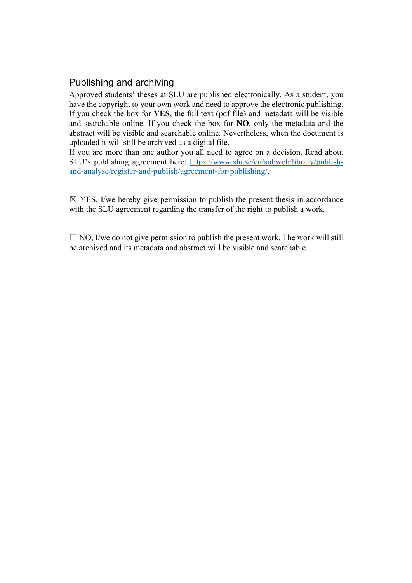### Publishing and archiving

Approved students' theses at SLU are published electronically. As a student, you have the copyright to your own work and need to approve the electronic publishing. If you check the box for **YES**, the full text (pdf file) and metadata will be visible and searchable online. If you check the box for **NO**, only the metadata and the abstract will be visible and searchable online. Nevertheless, when the document is uploaded it will still be archived as a digital file.

If you are more than one author you all need to agree on a decision. Read about SLU's publishing agreement here: https://www.slu.se/en/subweb/library/publishand-analyse/register-and-publish/agreement-for-publishing/.

 $\boxtimes$  YES, I/we hereby give permission to publish the present thesis in accordance with the SLU agreement regarding the transfer of the right to publish a work.

 $\Box$  NO, I/we do not give permission to publish the present work. The work will still be archived and its metadata and abstract will be visible and searchable.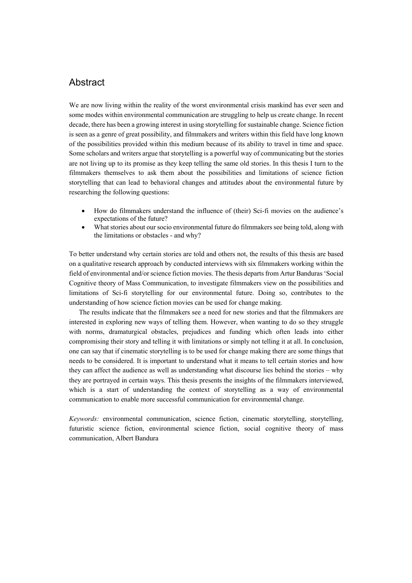#### Abstract

We are now living within the reality of the worst environmental crisis mankind has ever seen and some modes within environmental communication are struggling to help us create change. In recent decade, there has been a growing interest in using storytelling for sustainable change. Science fiction is seen as a genre of great possibility, and filmmakers and writers within this field have long known of the possibilities provided within this medium because of its ability to travel in time and space. Some scholars and writers argue that storytelling is a powerful way of communicating but the stories are not living up to its promise as they keep telling the same old stories. In this thesis I turn to the filmmakers themselves to ask them about the possibilities and limitations of science fiction storytelling that can lead to behavioral changes and attitudes about the environmental future by researching the following questions:

- How do filmmakers understand the influence of (their) Sci-fi movies on the audience's expectations of the future?
- What stories about our socio environmental future do filmmakers see being told, along with the limitations or obstacles - and why?

To better understand why certain stories are told and others not, the results of this thesis are based on a qualitative research approach by conducted interviews with six filmmakers working within the field of environmental and/or science fiction movies. The thesis departs from Artur Banduras 'Social Cognitive theory of Mass Communication, to investigate filmmakers view on the possibilities and limitations of Sci-fi storytelling for our environmental future. Doing so, contributes to the understanding of how science fiction movies can be used for change making.

The results indicate that the filmmakers see a need for new stories and that the filmmakers are interested in exploring new ways of telling them. However, when wanting to do so they struggle with norms, dramaturgical obstacles, prejudices and funding which often leads into either compromising their story and telling it with limitations or simply not telling it at all. In conclusion, one can say that if cinematic storytelling is to be used for change making there are some things that needs to be considered. It is important to understand what it means to tell certain stories and how they can affect the audience as well as understanding what discourse lies behind the stories – why they are portrayed in certain ways. This thesis presents the insights of the filmmakers interviewed, which is a start of understanding the context of storytelling as a way of environmental communication to enable more successful communication for environmental change.

*Keywords:* environmental communication, science fiction, cinematic storytelling, storytelling, futuristic science fiction, environmental science fiction, social cognitive theory of mass communication, Albert Bandura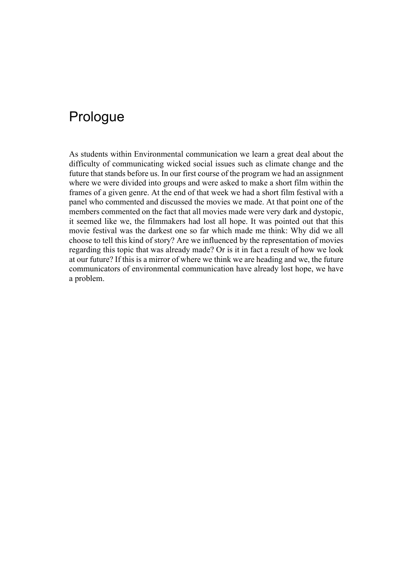## Prologue

As students within Environmental communication we learn a great deal about the difficulty of communicating wicked social issues such as climate change and the future that stands before us. In our first course of the program we had an assignment where we were divided into groups and were asked to make a short film within the frames of a given genre. At the end of that week we had a short film festival with a panel who commented and discussed the movies we made. At that point one of the members commented on the fact that all movies made were very dark and dystopic, it seemed like we, the filmmakers had lost all hope. It was pointed out that this movie festival was the darkest one so far which made me think: Why did we all choose to tell this kind of story? Are we influenced by the representation of movies regarding this topic that was already made? Or is it in fact a result of how we look at our future? If this is a mirror of where we think we are heading and we, the future communicators of environmental communication have already lost hope, we have a problem.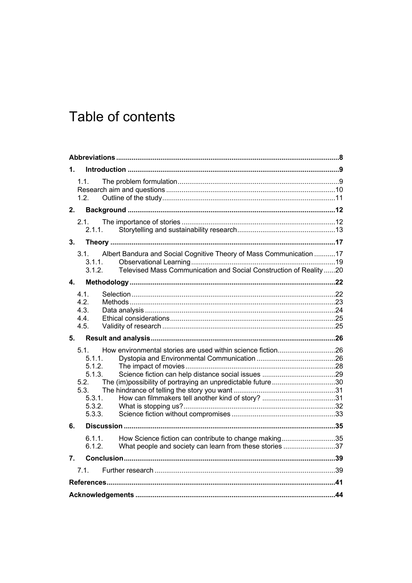# Table of contents

| 1.                                                                                                                                                                                        |  |  |
|-------------------------------------------------------------------------------------------------------------------------------------------------------------------------------------------|--|--|
| 1.1.<br>1.2.                                                                                                                                                                              |  |  |
| 2.                                                                                                                                                                                        |  |  |
| 2.1.<br>2.1.1.                                                                                                                                                                            |  |  |
| 3.                                                                                                                                                                                        |  |  |
| Albert Bandura and Social Cognitive Theory of Mass Communication 17<br>3.1.<br>3.1.1.<br>Televised Mass Communication and Social Construction of Reality 20<br>3.1.2.                     |  |  |
| 4.                                                                                                                                                                                        |  |  |
| 4.1.<br>4.2.<br>4.3.<br>4.4.<br>4.5.                                                                                                                                                      |  |  |
| 5.                                                                                                                                                                                        |  |  |
| How environmental stories are used within science fiction26<br>5.1<br>5.1.1.<br>5.1.2.<br>5.1.3.<br>The (im)possibility of portraying an unpredictable future30<br>5.2.<br>5.3.<br>5.3.1. |  |  |
| 5.3.2.<br>5.3.3.                                                                                                                                                                          |  |  |
| 6.                                                                                                                                                                                        |  |  |
| How Science fiction can contribute to change making35<br>$6.1.1$ .<br>What people and society can learn from these stories 37<br>6.1.2.                                                   |  |  |
| 7.                                                                                                                                                                                        |  |  |
| 7.1.                                                                                                                                                                                      |  |  |
|                                                                                                                                                                                           |  |  |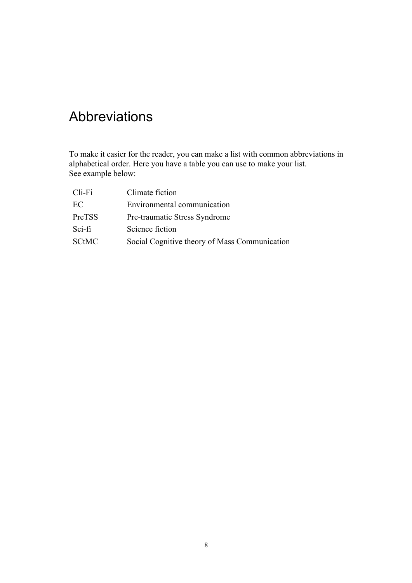## Abbreviations

To make it easier for the reader, you can make a list with common abbreviations in alphabetical order. Here you have a table you can use to make your list. See example below:

| $Cli$ -Fi    | Climate fiction                               |
|--------------|-----------------------------------------------|
| EC           | Environmental communication                   |
| PreTSS       | Pre-traumatic Stress Syndrome                 |
| $Sci$ -fi    | Science fiction                               |
| <b>SCtMC</b> | Social Cognitive theory of Mass Communication |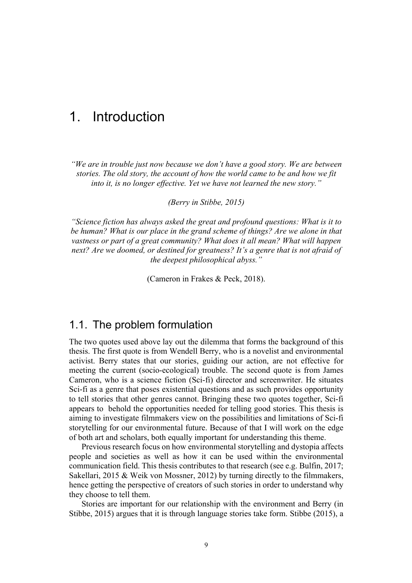## 1. Introduction

*"We are in trouble just now because we don't have a good story. We are between stories. The old story, the account of how the world came to be and how we fit into it, is no longer effective. Yet we have not learned the new story."*

*(Berry in Stibbe, 2015)*

*"Science fiction has always asked the great and profound questions: What is it to be human? What is our place in the grand scheme of things? Are we alone in that vastness or part of a great community? What does it all mean? What will happen next? Are we doomed, or destined for greatness? It's a genre that is not afraid of the deepest philosophical abyss."*

(Cameron in Frakes & Peck, 2018).

### 1.1. The problem formulation

The two quotes used above lay out the dilemma that forms the background of this thesis. The first quote is from Wendell Berry, who is a novelist and environmental activist. Berry states that our stories, guiding our action, are not effective for meeting the current (socio-ecological) trouble. The second quote is from James Cameron, who is a science fiction (Sci-fi) director and screenwriter. He situates Sci-fi as a genre that poses existential questions and as such provides opportunity to tell stories that other genres cannot. Bringing these two quotes together, Sci-fi appears to behold the opportunities needed for telling good stories. This thesis is aiming to investigate filmmakers view on the possibilities and limitations of Sci-fi storytelling for our environmental future. Because of that I will work on the edge of both art and scholars, both equally important for understanding this theme.

Previous research focus on how environmental storytelling and dystopia affects people and societies as well as how it can be used within the environmental communication field. This thesis contributes to that research (see e.g. Bulfin, 2017; Sakellari, 2015 & Weik von Mossner, 2012) by turning directly to the filmmakers, hence getting the perspective of creators of such stories in order to understand why they choose to tell them.

Stories are important for our relationship with the environment and Berry (in Stibbe, 2015) argues that it is through language stories take form. Stibbe (2015), a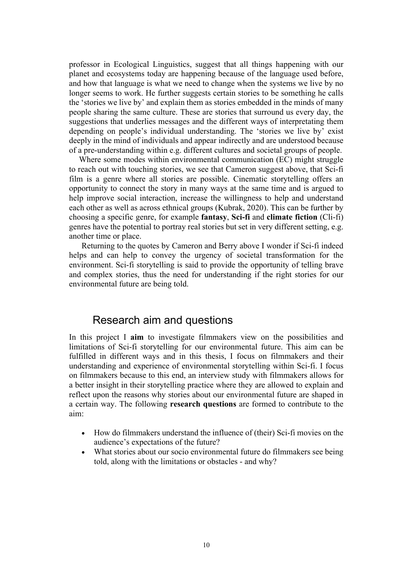professor in Ecological Linguistics, suggest that all things happening with our planet and ecosystems today are happening because of the language used before, and how that language is what we need to change when the systems we live by no longer seems to work. He further suggests certain stories to be something he calls the 'stories we live by' and explain them as stories embedded in the minds of many people sharing the same culture. These are stories that surround us every day, the suggestions that underlies messages and the different ways of interpretating them depending on people's individual understanding. The 'stories we live by' exist deeply in the mind of individuals and appear indirectly and are understood because of a pre-understanding within e.g. different cultures and societal groups of people.

Where some modes within environmental communication (EC) might struggle to reach out with touching stories, we see that Cameron suggest above, that Sci-fi film is a genre where all stories are possible. Cinematic storytelling offers an opportunity to connect the story in many ways at the same time and is argued to help improve social interaction, increase the willingness to help and understand each other as well as across ethnical groups (Kubrak, 2020). This can be further by choosing a specific genre, for example **fantasy**, **Sci-fi** and **climate fiction** (Cli-fi) genres have the potential to portray real stories but set in very different setting, e.g. another time or place.

Returning to the quotes by Cameron and Berry above I wonder if Sci-fi indeed helps and can help to convey the urgency of societal transformation for the environment. Sci-fi storytelling is said to provide the opportunity of telling brave and complex stories, thus the need for understanding if the right stories for our environmental future are being told.

#### Research aim and questions

In this project I **aim** to investigate filmmakers view on the possibilities and limitations of Sci-fi storytelling for our environmental future. This aim can be fulfilled in different ways and in this thesis, I focus on filmmakers and their understanding and experience of environmental storytelling within Sci-fi. I focus on filmmakers because to this end, an interview study with filmmakers allows for a better insight in their storytelling practice where they are allowed to explain and reflect upon the reasons why stories about our environmental future are shaped in a certain way. The following **research questions** are formed to contribute to the aim:

- How do filmmakers understand the influence of (their) Sci-fi movies on the audience's expectations of the future?
- What stories about our socio environmental future do filmmakers see being told, along with the limitations or obstacles - and why?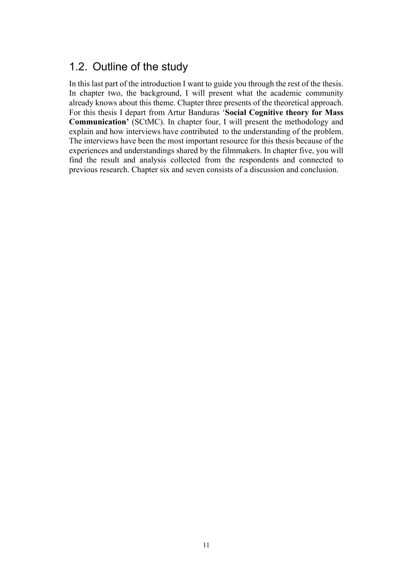### 1.2. Outline of the study

In this last part of the introduction I want to guide you through the rest of the thesis. In chapter two, the background, I will present what the academic community already knows about this theme. Chapter three presents of the theoretical approach. For this thesis I depart from Artur Banduras '**Social Cognitive theory for Mass Communication'** (SCtMC). In chapter four, I will present the methodology and explain and how interviews have contributed to the understanding of the problem. The interviews have been the most important resource for this thesis because of the experiences and understandings shared by the filmmakers. In chapter five, you will find the result and analysis collected from the respondents and connected to previous research. Chapter six and seven consists of a discussion and conclusion.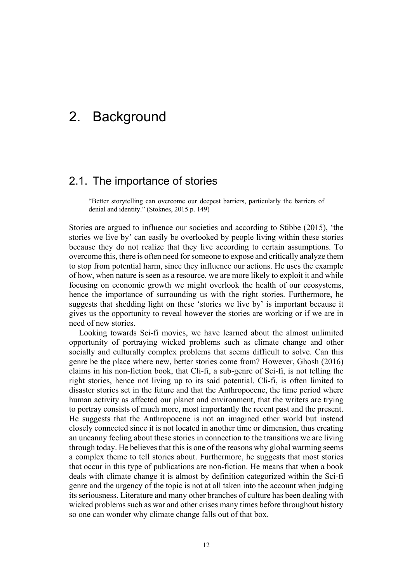## 2. Background

### 2.1. The importance of stories

"Better storytelling can overcome our deepest barriers, particularly the barriers of denial and identity." (Stoknes, 2015 p. 149)

Stories are argued to influence our societies and according to Stibbe (2015), 'the stories we live by' can easily be overlooked by people living within these stories because they do not realize that they live according to certain assumptions. To overcome this, there is often need for someone to expose and critically analyze them to stop from potential harm, since they influence our actions. He uses the example of how, when nature is seen as a resource, we are more likely to exploit it and while focusing on economic growth we might overlook the health of our ecosystems, hence the importance of surrounding us with the right stories. Furthermore, he suggests that shedding light on these 'stories we live by' is important because it gives us the opportunity to reveal however the stories are working or if we are in need of new stories.

Looking towards Sci-fi movies, we have learned about the almost unlimited opportunity of portraying wicked problems such as climate change and other socially and culturally complex problems that seems difficult to solve. Can this genre be the place where new, better stories come from? However, Ghosh (2016) claims in his non-fiction book, that Cli-fi, a sub-genre of Sci-fi, is not telling the right stories, hence not living up to its said potential. Cli-fi, is often limited to disaster stories set in the future and that the Anthropocene, the time period where human activity as affected our planet and environment, that the writers are trying to portray consists of much more, most importantly the recent past and the present. He suggests that the Anthropocene is not an imagined other world but instead closely connected since it is not located in another time or dimension, thus creating an uncanny feeling about these stories in connection to the transitions we are living through today. He believes that this is one of the reasons why global warming seems a complex theme to tell stories about. Furthermore, he suggests that most stories that occur in this type of publications are non-fiction. He means that when a book deals with climate change it is almost by definition categorized within the Sci-fi genre and the urgency of the topic is not at all taken into the account when judging its seriousness. Literature and many other branches of culture has been dealing with wicked problems such as war and other crises many times before throughout history so one can wonder why climate change falls out of that box.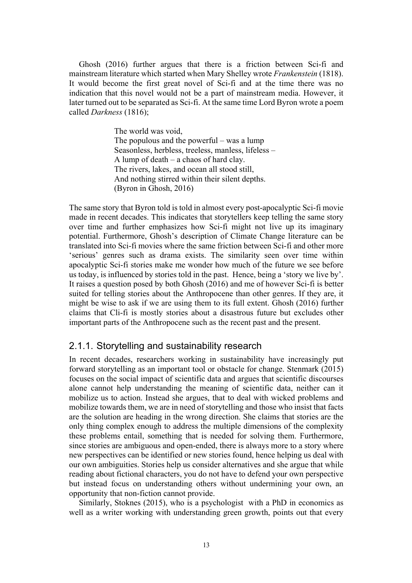Ghosh (2016) further argues that there is a friction between Sci-fi and mainstream literature which started when Mary Shelley wrote *Frankenstein* (1818). It would become the first great novel of Sci-fi and at the time there was no indication that this novel would not be a part of mainstream media. However, it later turned out to be separated as Sci-fi. At the same time Lord Byron wrote a poem called *Darkness* (1816);

> The world was void, The populous and the powerful – was a lump Seasonless, herbless, treeless, manless, lifeless – A lump of death – a chaos of hard clay. The rivers, lakes, and ocean all stood still, And nothing stirred within their silent depths. (Byron in Ghosh, 2016)

The same story that Byron told is told in almost every post-apocalyptic Sci-fi movie made in recent decades. This indicates that storytellers keep telling the same story over time and further emphasizes how Sci-fi might not live up its imaginary potential. Furthermore, Ghosh's description of Climate Change literature can be translated into Sci-fi movies where the same friction between Sci-fi and other more 'serious' genres such as drama exists. The similarity seen over time within apocalyptic Sci-fi stories make me wonder how much of the future we see before us today, is influenced by stories told in the past. Hence, being a 'story we live by'. It raises a question posed by both Ghosh (2016) and me of however Sci-fi is better suited for telling stories about the Anthropocene than other genres. If they are, it might be wise to ask if we are using them to its full extent. Ghosh (2016) further claims that Cli-fi is mostly stories about a disastrous future but excludes other important parts of the Anthropocene such as the recent past and the present.

#### 2.1.1. Storytelling and sustainability research

In recent decades, researchers working in sustainability have increasingly put forward storytelling as an important tool or obstacle for change. Stenmark (2015) focuses on the social impact of scientific data and argues that scientific discourses alone cannot help understanding the meaning of scientific data, neither can it mobilize us to action. Instead she argues, that to deal with wicked problems and mobilize towards them, we are in need of storytelling and those who insist that facts are the solution are heading in the wrong direction. She claims that stories are the only thing complex enough to address the multiple dimensions of the complexity these problems entail, something that is needed for solving them. Furthermore, since stories are ambiguous and open-ended, there is always more to a story where new perspectives can be identified or new stories found, hence helping us deal with our own ambiguities. Stories help us consider alternatives and she argue that while reading about fictional characters, you do not have to defend your own perspective but instead focus on understanding others without undermining your own, an opportunity that non-fiction cannot provide.

Similarly, Stoknes (2015), who is a psychologist with a PhD in economics as well as a writer working with understanding green growth, points out that every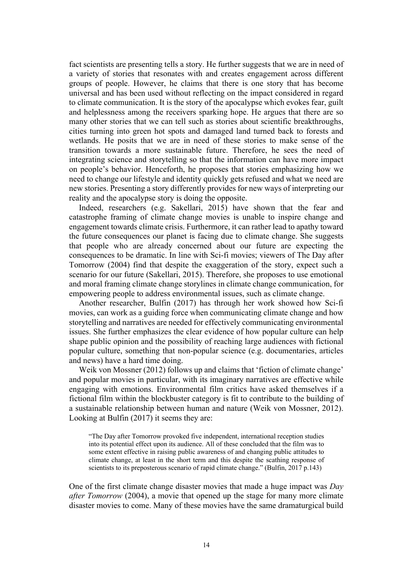fact scientists are presenting tells a story. He further suggests that we are in need of a variety of stories that resonates with and creates engagement across different groups of people. However, he claims that there is one story that has become universal and has been used without reflecting on the impact considered in regard to climate communication. It is the story of the apocalypse which evokes fear, guilt and helplessness among the receivers sparking hope. He argues that there are so many other stories that we can tell such as stories about scientific breakthroughs, cities turning into green hot spots and damaged land turned back to forests and wetlands. He posits that we are in need of these stories to make sense of the transition towards a more sustainable future. Therefore, he sees the need of integrating science and storytelling so that the information can have more impact on people's behavior. Henceforth, he proposes that stories emphasizing how we need to change our lifestyle and identity quickly gets refused and what we need are new stories. Presenting a story differently provides for new ways of interpreting our reality and the apocalypse story is doing the opposite.

Indeed, researchers (e.g. Sakellari, 2015) have shown that the fear and catastrophe framing of climate change movies is unable to inspire change and engagement towards climate crisis. Furthermore, it can rather lead to apathy toward the future consequences our planet is facing due to climate change. She suggests that people who are already concerned about our future are expecting the consequences to be dramatic. In line with Sci-fi movies; viewers of The Day after Tomorrow (2004) find that despite the exaggeration of the story, expect such a scenario for our future (Sakellari, 2015). Therefore, she proposes to use emotional and moral framing climate change storylines in climate change communication, for empowering people to address environmental issues, such as climate change.

Another researcher, Bulfin (2017) has through her work showed how Sci-fi movies, can work as a guiding force when communicating climate change and how storytelling and narratives are needed for effectively communicating environmental issues. She further emphasizes the clear evidence of how popular culture can help shape public opinion and the possibility of reaching large audiences with fictional popular culture, something that non-popular science (e.g. documentaries, articles and news) have a hard time doing.

Weik von Mossner (2012) follows up and claims that 'fiction of climate change' and popular movies in particular, with its imaginary narratives are effective while engaging with emotions. Environmental film critics have asked themselves if a fictional film within the blockbuster category is fit to contribute to the building of a sustainable relationship between human and nature (Weik von Mossner, 2012). Looking at Bulfin (2017) it seems they are:

"The Day after Tomorrow provoked five independent, international reception studies into its potential effect upon its audience. All of these concluded that the film was to some extent effective in raising public awareness of and changing public attitudes to climate change, at least in the short term and this despite the scathing response of scientists to its preposterous scenario of rapid climate change." (Bulfin, 2017 p.143)

One of the first climate change disaster movies that made a huge impact was *Day after Tomorrow* (2004), a movie that opened up the stage for many more climate disaster movies to come. Many of these movies have the same dramaturgical build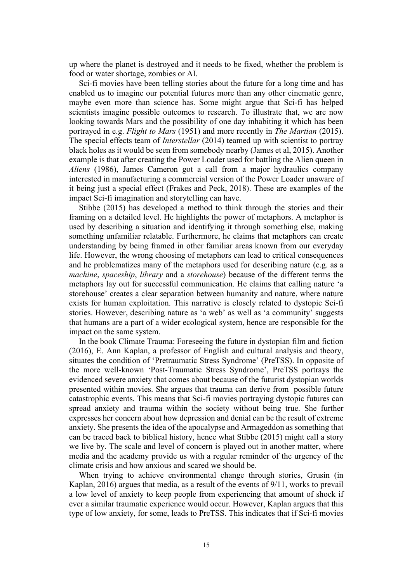up where the planet is destroyed and it needs to be fixed, whether the problem is food or water shortage, zombies or AI.

Sci-fi movies have been telling stories about the future for a long time and has enabled us to imagine our potential futures more than any other cinematic genre, maybe even more than science has. Some might argue that Sci-fi has helped scientists imagine possible outcomes to research. To illustrate that, we are now looking towards Mars and the possibility of one day inhabiting it which has been portrayed in e.g. *Flight to Mars* (1951) and more recently in *The Martian* (2015). The special effects team of *Interstellar* (2014) teamed up with scientist to portray black holes as it would be seen from somebody nearby (James et al, 2015). Another example is that after creating the Power Loader used for battling the Alien queen in *Aliens* (1986), James Cameron got a call from a major hydraulics company interested in manufacturing a commercial version of the Power Loader unaware of it being just a special effect (Frakes and Peck, 2018). These are examples of the impact Sci-fi imagination and storytelling can have.

Stibbe (2015) has developed a method to think through the stories and their framing on a detailed level. He highlights the power of metaphors. A metaphor is used by describing a situation and identifying it through something else, making something unfamiliar relatable. Furthermore, he claims that metaphors can create understanding by being framed in other familiar areas known from our everyday life. However, the wrong choosing of metaphors can lead to critical consequences and he problematizes many of the metaphors used for describing nature (e.g. as a *machine*, *spaceship*, *library* and a *storehouse*) because of the different terms the metaphors lay out for successful communication. He claims that calling nature 'a storehouse' creates a clear separation between humanity and nature, where nature exists for human exploitation. This narrative is closely related to dystopic Sci-fi stories. However, describing nature as 'a web' as well as 'a community' suggests that humans are a part of a wider ecological system, hence are responsible for the impact on the same system.

In the book Climate Trauma: Foreseeing the future in dystopian film and fiction (2016), E. Ann Kaplan, a professor of English and cultural analysis and theory, situates the condition of 'Pretraumatic Stress Syndrome' (PreTSS). In opposite of the more well-known 'Post-Traumatic Stress Syndrome', PreTSS portrays the evidenced severe anxiety that comes about because of the futurist dystopian worlds presented within movies. She argues that trauma can derive from possible future catastrophic events. This means that Sci-fi movies portraying dystopic futures can spread anxiety and trauma within the society without being true. She further expresses her concern about how depression and denial can be the result of extreme anxiety. She presents the idea of the apocalypse and Armageddon as something that can be traced back to biblical history, hence what Stibbe (2015) might call a story we live by. The scale and level of concern is played out in another matter, where media and the academy provide us with a regular reminder of the urgency of the climate crisis and how anxious and scared we should be.

When trying to achieve environmental change through stories, Grusin (in Kaplan, 2016) argues that media, as a result of the events of 9/11, works to prevail a low level of anxiety to keep people from experiencing that amount of shock if ever a similar traumatic experience would occur. However, Kaplan argues that this type of low anxiety, for some, leads to PreTSS. This indicates that if Sci-fi movies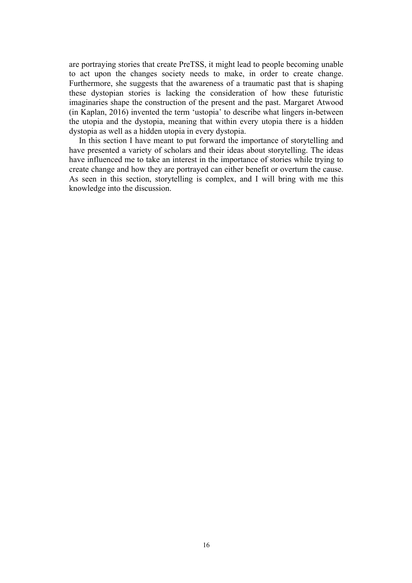are portraying stories that create PreTSS, it might lead to people becoming unable to act upon the changes society needs to make, in order to create change. Furthermore, she suggests that the awareness of a traumatic past that is shaping these dystopian stories is lacking the consideration of how these futuristic imaginaries shape the construction of the present and the past. Margaret Atwood (in Kaplan, 2016) invented the term 'ustopia' to describe what lingers in-between the utopia and the dystopia, meaning that within every utopia there is a hidden dystopia as well as a hidden utopia in every dystopia.

In this section I have meant to put forward the importance of storytelling and have presented a variety of scholars and their ideas about storytelling. The ideas have influenced me to take an interest in the importance of stories while trying to create change and how they are portrayed can either benefit or overturn the cause. As seen in this section, storytelling is complex, and I will bring with me this knowledge into the discussion.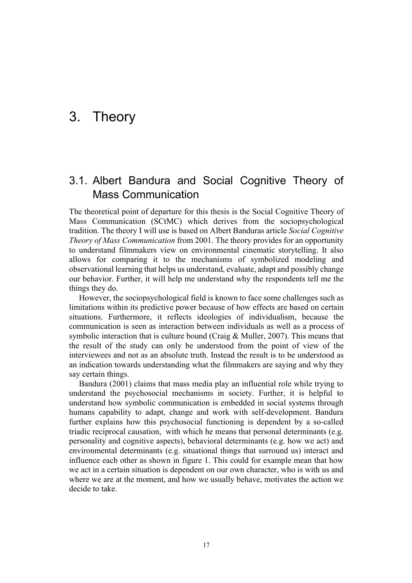## 3. Theory

### 3.1. Albert Bandura and Social Cognitive Theory of Mass Communication

The theoretical point of departure for this thesis is the Social Cognitive Theory of Mass Communication (SCtMC) which derives from the sociopsychological tradition. The theory I will use is based on Albert Banduras article *Social Cognitive Theory of Mass Communication* from 2001. The theory provides for an opportunity to understand filmmakers view on environmental cinematic storytelling. It also allows for comparing it to the mechanisms of symbolized modeling and observational learning that helps us understand, evaluate, adapt and possibly change our behavior. Further, it will help me understand why the respondents tell me the things they do.

However, the sociopsychological field is known to face some challenges such as limitations within its predictive power because of how effects are based on certain situations. Furthermore, it reflects ideologies of individualism, because the communication is seen as interaction between individuals as well as a process of symbolic interaction that is culture bound (Craig & Muller, 2007). This means that the result of the study can only be understood from the point of view of the interviewees and not as an absolute truth. Instead the result is to be understood as an indication towards understanding what the filmmakers are saying and why they say certain things.

Bandura (2001) claims that mass media play an influential role while trying to understand the psychosocial mechanisms in society. Further, it is helpful to understand how symbolic communication is embedded in social systems through humans capability to adapt, change and work with self-development. Bandura further explains how this psychosocial functioning is dependent by a so-called triadic reciprocal causation, with which he means that personal determinants (e.g. personality and cognitive aspects), behavioral determinants (e.g. how we act) and environmental determinants (e.g. situational things that surround us) interact and influence each other as shown in figure 1. This could for example mean that how we act in a certain situation is dependent on our own character, who is with us and where we are at the moment, and how we usually behave, motivates the action we decide to take.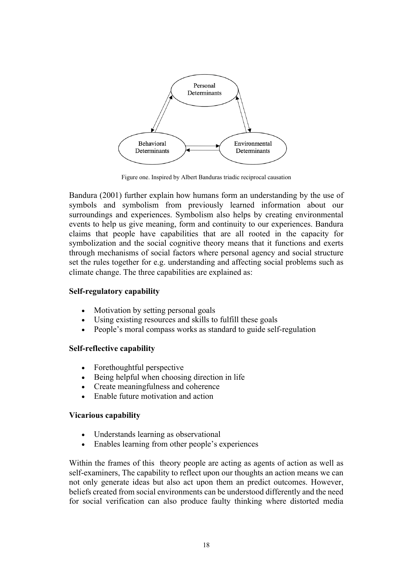

Figure one. Inspired by Albert Banduras triadic reciprocal causation

Bandura (2001) further explain how humans form an understanding by the use of symbols and symbolism from previously learned information about our surroundings and experiences. Symbolism also helps by creating environmental events to help us give meaning, form and continuity to our experiences. Bandura claims that people have capabilities that are all rooted in the capacity for symbolization and the social cognitive theory means that it functions and exerts through mechanisms of social factors where personal agency and social structure set the rules together for e.g. understanding and affecting social problems such as climate change. The three capabilities are explained as:

#### **Self-regulatory capability**

- Motivation by setting personal goals
- Using existing resources and skills to fulfill these goals
- People's moral compass works as standard to guide self-regulation

#### **Self-reflective capability**

- Forethoughtful perspective
- Being helpful when choosing direction in life
- Create meaningfulness and coherence
- Enable future motivation and action

#### **Vicarious capability**

- Understands learning as observational
- Enables learning from other people's experiences

Within the frames of this theory people are acting as agents of action as well as self-examiners, The capability to reflect upon our thoughts an action means we can not only generate ideas but also act upon them an predict outcomes. However, beliefs created from social environments can be understood differently and the need for social verification can also produce faulty thinking where distorted media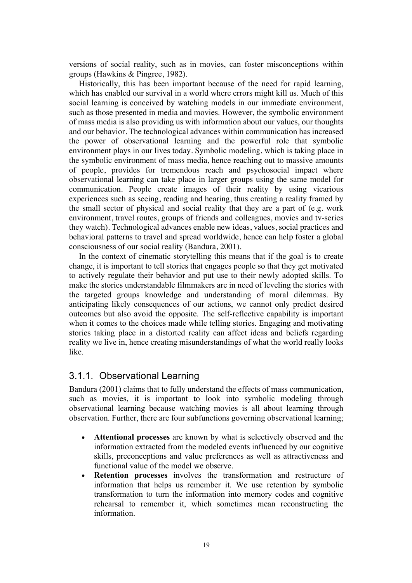versions of social reality, such as in movies, can foster misconceptions within groups (Hawkins & Pingree, 1982).

Historically, this has been important because of the need for rapid learning, which has enabled our survival in a world where errors might kill us. Much of this social learning is conceived by watching models in our immediate environment, such as those presented in media and movies. However, the symbolic environment of mass media is also providing us with information about our values, our thoughts and our behavior. The technological advances within communication has increased the power of observational learning and the powerful role that symbolic environment plays in our lives today. Symbolic modeling, which is taking place in the symbolic environment of mass media, hence reaching out to massive amounts of people, provides for tremendous reach and psychosocial impact where observational learning can take place in larger groups using the same model for communication. People create images of their reality by using vicarious experiences such as seeing, reading and hearing, thus creating a reality framed by the small sector of physical and social reality that they are a part of (e.g. work environment, travel routes, groups of friends and colleagues, movies and tv-series they watch). Technological advances enable new ideas, values, social practices and behavioral patterns to travel and spread worldwide, hence can help foster a global consciousness of our social reality (Bandura, 2001).

In the context of cinematic storytelling this means that if the goal is to create change, it is important to tell stories that engages people so that they get motivated to actively regulate their behavior and put use to their newly adopted skills. To make the stories understandable filmmakers are in need of leveling the stories with the targeted groups knowledge and understanding of moral dilemmas. By anticipating likely consequences of our actions, we cannot only predict desired outcomes but also avoid the opposite. The self-reflective capability is important when it comes to the choices made while telling stories. Engaging and motivating stories taking place in a distorted reality can affect ideas and beliefs regarding reality we live in, hence creating misunderstandings of what the world really looks like.

#### 3.1.1. Observational Learning

Bandura (2001) claims that to fully understand the effects of mass communication, such as movies, it is important to look into symbolic modeling through observational learning because watching movies is all about learning through observation. Further, there are four subfunctions governing observational learning;

- **Attentional processes** are known by what is selectively observed and the information extracted from the modeled events influenced by our cognitive skills, preconceptions and value preferences as well as attractiveness and functional value of the model we observe.
- **Retention processes** involves the transformation and restructure of information that helps us remember it. We use retention by symbolic transformation to turn the information into memory codes and cognitive rehearsal to remember it, which sometimes mean reconstructing the information.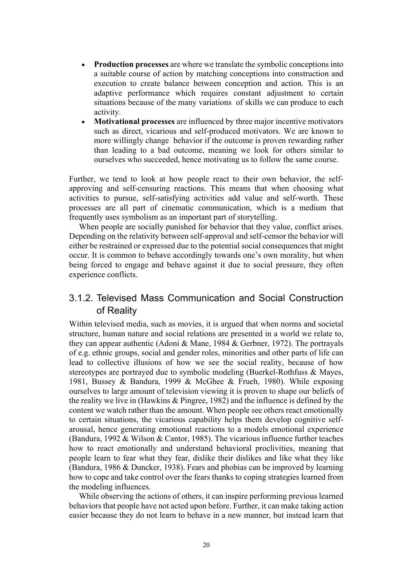- **Production processes** are where we translate the symbolic conceptions into a suitable course of action by matching conceptions into construction and execution to create balance between conception and action. This is an adaptive performance which requires constant adjustment to certain situations because of the many variations of skills we can produce to each activity.
- **Motivational processes** are influenced by three major incentive motivators such as direct, vicarious and self-produced motivators. We are known to more willingly change behavior if the outcome is proven rewarding rather than leading to a bad outcome, meaning we look for others similar to ourselves who succeeded, hence motivating us to follow the same course.

Further, we tend to look at how people react to their own behavior, the selfapproving and self-censuring reactions. This means that when choosing what activities to pursue, self-satisfying activities add value and self-worth. These processes are all part of cinematic communication, which is a medium that frequently uses symbolism as an important part of storytelling.

When people are socially punished for behavior that they value, conflict arises. Depending on the relativity between self-approval and self-censor the behavior will either be restrained or expressed due to the potential social consequences that might occur. It is common to behave accordingly towards one's own morality, but when being forced to engage and behave against it due to social pressure, they often experience conflicts.

### 3.1.2. Televised Mass Communication and Social Construction of Reality

Within televised media, such as movies, it is argued that when norms and societal structure, human nature and social relations are presented in a world we relate to, they can appear authentic (Adoni & Mane, 1984 & Gerbner, 1972). The portrayals of e.g. ethnic groups, social and gender roles, minorities and other parts of life can lead to collective illusions of how we see the social reality, because of how stereotypes are portrayed due to symbolic modeling (Buerkel-Rothfuss & Mayes, 1981, Bussey & Bandura, 1999 & McGhee & Frueh, 1980). While exposing ourselves to large amount of television viewing it is proven to shape our beliefs of the reality we live in (Hawkins & Pingree, 1982) and the influence is defined by the content we watch rather than the amount. When people see others react emotionally to certain situations, the vicarious capability helps them develop cognitive selfarousal, hence generating emotional reactions to a models emotional experience (Bandura, 1992 & Wilson & Cantor, 1985). The vicarious influence further teaches how to react emotionally and understand behavioral proclivities, meaning that people learn to fear what they fear, dislike their dislikes and like what they like (Bandura, 1986 & Duncker, 1938). Fears and phobias can be improved by learning how to cope and take control over the fears thanks to coping strategies learned from the modeling influences.

While observing the actions of others, it can inspire performing previous learned behaviors that people have not acted upon before. Further, it can make taking action easier because they do not learn to behave in a new manner, but instead learn that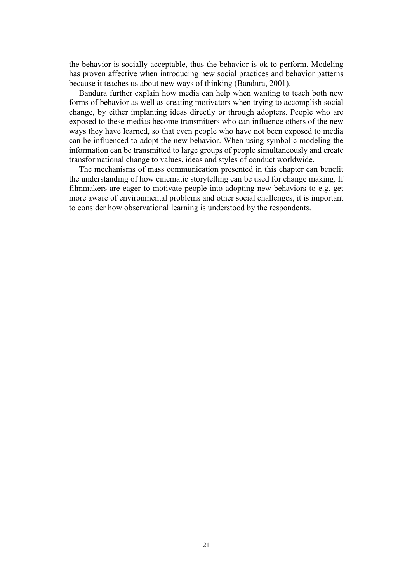the behavior is socially acceptable, thus the behavior is ok to perform. Modeling has proven affective when introducing new social practices and behavior patterns because it teaches us about new ways of thinking (Bandura, 2001).

Bandura further explain how media can help when wanting to teach both new forms of behavior as well as creating motivators when trying to accomplish social change, by either implanting ideas directly or through adopters. People who are exposed to these medias become transmitters who can influence others of the new ways they have learned, so that even people who have not been exposed to media can be influenced to adopt the new behavior. When using symbolic modeling the information can be transmitted to large groups of people simultaneously and create transformational change to values, ideas and styles of conduct worldwide.

The mechanisms of mass communication presented in this chapter can benefit the understanding of how cinematic storytelling can be used for change making. If filmmakers are eager to motivate people into adopting new behaviors to e.g. get more aware of environmental problems and other social challenges, it is important to consider how observational learning is understood by the respondents.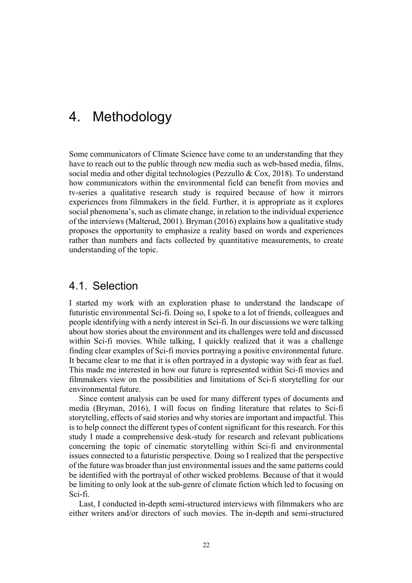## 4. Methodology

Some communicators of Climate Science have come to an understanding that they have to reach out to the public through new media such as web-based media, films, social media and other digital technologies (Pezzullo & Cox, 2018). To understand how communicators within the environmental field can benefit from movies and tv-series a qualitative research study is required because of how it mirrors experiences from filmmakers in the field. Further, it is appropriate as it explores social phenomena's, such as climate change, in relation to the individual experience of the interviews (Malterud, 2001). Bryman (2016) explains how a qualitative study proposes the opportunity to emphasize a reality based on words and experiences rather than numbers and facts collected by quantitative measurements, to create understanding of the topic.

### 4.1. Selection

I started my work with an exploration phase to understand the landscape of futuristic environmental Sci-fi. Doing so, I spoke to a lot of friends, colleagues and people identifying with a nerdy interest in Sci-fi. In our discussions we were talking about how stories about the environment and its challenges were told and discussed within Sci-fi movies. While talking, I quickly realized that it was a challenge finding clear examples of Sci-fi movies portraying a positive environmental future. It became clear to me that it is often portrayed in a dystopic way with fear as fuel. This made me interested in how our future is represented within Sci-fi movies and filmmakers view on the possibilities and limitations of Sci-fi storytelling for our environmental future.

Since content analysis can be used for many different types of documents and media (Bryman, 2016), I will focus on finding literature that relates to Sci-fi storytelling, effects of said stories and why stories are important and impactful. This is to help connect the different types of content significant for this research. For this study I made a comprehensive desk-study for research and relevant publications concerning the topic of cinematic storytelling within Sci-fi and environmental issues connected to a futuristic perspective. Doing so I realized that the perspective of the future was broader than just environmental issues and the same patterns could be identified with the portrayal of other wicked problems. Because of that it would be limiting to only look at the sub-genre of climate fiction which led to focusing on Sci-fi.

Last, I conducted in-depth semi-structured interviews with filmmakers who are either writers and/or directors of such movies. The in-depth and semi-structured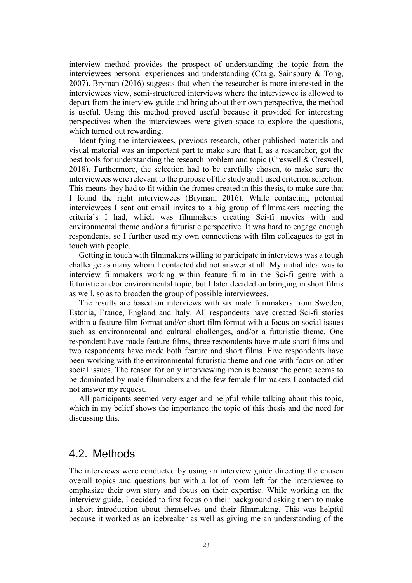interview method provides the prospect of understanding the topic from the interviewees personal experiences and understanding (Craig, Sainsbury & Tong, 2007). Bryman (2016) suggests that when the researcher is more interested in the interviewees view, semi-structured interviews where the interviewee is allowed to depart from the interview guide and bring about their own perspective, the method is useful. Using this method proved useful because it provided for interesting perspectives when the interviewees were given space to explore the questions, which turned out rewarding.

Identifying the interviewees, previous research, other published materials and visual material was an important part to make sure that I, as a researcher, got the best tools for understanding the research problem and topic (Creswell & Creswell, 2018). Furthermore, the selection had to be carefully chosen, to make sure the interviewees were relevant to the purpose of the study and I used criterion selection. This means they had to fit within the frames created in this thesis, to make sure that I found the right interviewees (Bryman, 2016). While contacting potential interviewees I sent out email invites to a big group of filmmakers meeting the criteria's I had, which was filmmakers creating Sci-fi movies with and environmental theme and/or a futuristic perspective. It was hard to engage enough respondents, so I further used my own connections with film colleagues to get in touch with people.

Getting in touch with filmmakers willing to participate in interviews was a tough challenge as many whom I contacted did not answer at all. My initial idea was to interview filmmakers working within feature film in the Sci-fi genre with a futuristic and/or environmental topic, but I later decided on bringing in short films as well, so as to broaden the group of possible interviewees.

The results are based on interviews with six male filmmakers from Sweden, Estonia, France, England and Italy. All respondents have created Sci-fi stories within a feature film format and/or short film format with a focus on social issues such as environmental and cultural challenges, and/or a futuristic theme. One respondent have made feature films, three respondents have made short films and two respondents have made both feature and short films. Five respondents have been working with the environmental futuristic theme and one with focus on other social issues. The reason for only interviewing men is because the genre seems to be dominated by male filmmakers and the few female filmmakers I contacted did not answer my request.

All participants seemed very eager and helpful while talking about this topic, which in my belief shows the importance the topic of this thesis and the need for discussing this.

#### 4.2. Methods

The interviews were conducted by using an interview guide directing the chosen overall topics and questions but with a lot of room left for the interviewee to emphasize their own story and focus on their expertise. While working on the interview guide, I decided to first focus on their background asking them to make a short introduction about themselves and their filmmaking. This was helpful because it worked as an icebreaker as well as giving me an understanding of the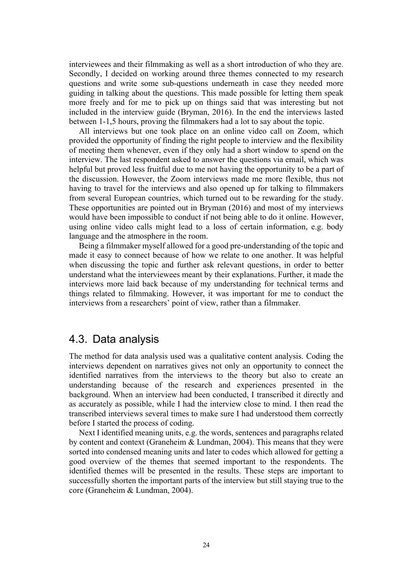interviewees and their filmmaking as well as a short introduction of who they are. Secondly, I decided on working around three themes connected to my research questions and write some sub-questions underneath in case they needed more guiding in talking about the questions. This made possible for letting them speak more freely and for me to pick up on things said that was interesting but not included in the interview guide (Bryman, 2016). In the end the interviews lasted between 1-1,5 hours, proving the filmmakers had a lot to say about the topic.

All interviews but one took place on an online video call on Zoom, which provided the opportunity of finding the right people to interview and the flexibility of meeting them whenever, even if they only had a short window to spend on the interview. The last respondent asked to answer the questions via email, which was helpful but proved less fruitful due to me not having the opportunity to be a part of the discussion. However, the Zoom interviews made me more flexible, thus not having to travel for the interviews and also opened up for talking to filmmakers from several European countries, which turned out to be rewarding for the study. These opportunities are pointed out in Bryman (2016) and most of my interviews would have been impossible to conduct if not being able to do it online. However, using online video calls might lead to a loss of certain information, e.g. body language and the atmosphere in the room.

Being a filmmaker myself allowed for a good pre-understanding of the topic and made it easy to connect because of how we relate to one another. It was helpful when discussing the topic and further ask relevant questions, in order to better understand what the interviewees meant by their explanations. Further, it made the interviews more laid back because of my understanding for technical terms and things related to filmmaking. However, it was important for me to conduct the interviews from a researchers' point of view, rather than a filmmaker.

#### 4.3. Data analysis

The method for data analysis used was a qualitative content analysis. Coding the interviews dependent on narratives gives not only an opportunity to connect the identified narratives from the interviews to the theory but also to create an understanding because of the research and experiences presented in the background. When an interview had been conducted, I transcribed it directly and as accurately as possible, while I had the interview close to mind. I then read the transcribed interviews several times to make sure I had understood them correctly before I started the process of coding.

Next I identified meaning units, e.g. the words, sentences and paragraphs related by content and context (Graneheim & Lundman, 2004). This means that they were sorted into condensed meaning units and later to codes which allowed for getting a good overview of the themes that seemed important to the respondents. The identified themes will be presented in the results. These steps are important to successfully shorten the important parts of the interview but still staying true to the core (Graneheim & Lundman, 2004).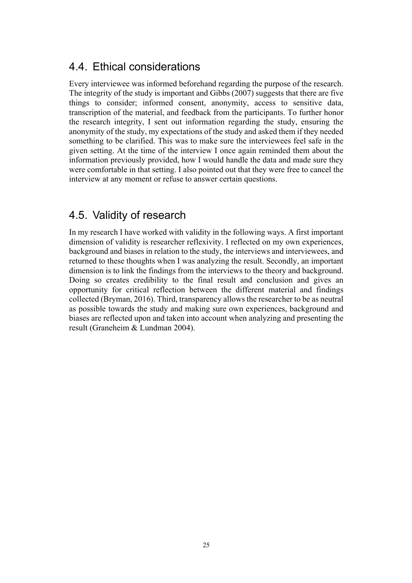### 4.4. Ethical considerations

Every interviewee was informed beforehand regarding the purpose of the research. The integrity of the study is important and Gibbs (2007) suggests that there are five things to consider; informed consent, anonymity, access to sensitive data, transcription of the material, and feedback from the participants. To further honor the research integrity, I sent out information regarding the study, ensuring the anonymity of the study, my expectations of the study and asked them if they needed something to be clarified. This was to make sure the interviewees feel safe in the given setting. At the time of the interview I once again reminded them about the information previously provided, how I would handle the data and made sure they were comfortable in that setting. I also pointed out that they were free to cancel the interview at any moment or refuse to answer certain questions.

### 4.5. Validity of research

In my research I have worked with validity in the following ways. A first important dimension of validity is researcher reflexivity. I reflected on my own experiences, background and biases in relation to the study, the interviews and interviewees, and returned to these thoughts when I was analyzing the result. Secondly, an important dimension is to link the findings from the interviews to the theory and background. Doing so creates credibility to the final result and conclusion and gives an opportunity for critical reflection between the different material and findings collected (Bryman, 2016). Third, transparency allows the researcher to be as neutral as possible towards the study and making sure own experiences, background and biases are reflected upon and taken into account when analyzing and presenting the result (Graneheim & Lundman 2004).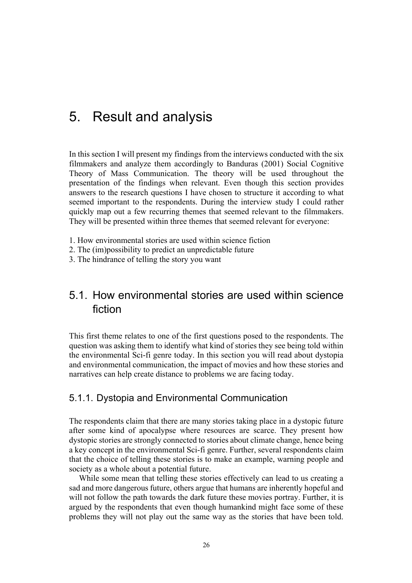## 5. Result and analysis

In this section I will present my findings from the interviews conducted with the six filmmakers and analyze them accordingly to Banduras (2001) Social Cognitive Theory of Mass Communication. The theory will be used throughout the presentation of the findings when relevant. Even though this section provides answers to the research questions I have chosen to structure it according to what seemed important to the respondents. During the interview study I could rather quickly map out a few recurring themes that seemed relevant to the filmmakers. They will be presented within three themes that seemed relevant for everyone:

- 1. How environmental stories are used within science fiction
- 2. The (im)possibility to predict an unpredictable future
- 3. The hindrance of telling the story you want

### 5.1. How environmental stories are used within science fiction

This first theme relates to one of the first questions posed to the respondents. The question was asking them to identify what kind of stories they see being told within the environmental Sci-fi genre today. In this section you will read about dystopia and environmental communication, the impact of movies and how these stories and narratives can help create distance to problems we are facing today.

#### 5.1.1. Dystopia and Environmental Communication

The respondents claim that there are many stories taking place in a dystopic future after some kind of apocalypse where resources are scarce. They present how dystopic stories are strongly connected to stories about climate change, hence being a key concept in the environmental Sci-fi genre. Further, several respondents claim that the choice of telling these stories is to make an example, warning people and society as a whole about a potential future.

While some mean that telling these stories effectively can lead to us creating a sad and more dangerous future, others argue that humans are inherently hopeful and will not follow the path towards the dark future these movies portray. Further, it is argued by the respondents that even though humankind might face some of these problems they will not play out the same way as the stories that have been told.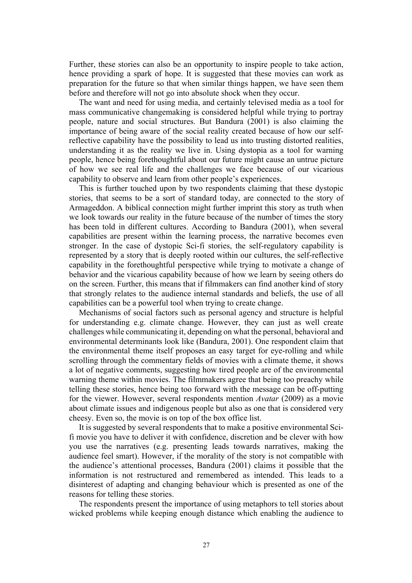Further, these stories can also be an opportunity to inspire people to take action, hence providing a spark of hope. It is suggested that these movies can work as preparation for the future so that when similar things happen, we have seen them before and therefore will not go into absolute shock when they occur.

The want and need for using media, and certainly televised media as a tool for mass communicative changemaking is considered helpful while trying to portray people, nature and social structures. But Bandura (2001) is also claiming the importance of being aware of the social reality created because of how our selfreflective capability have the possibility to lead us into trusting distorted realities, understanding it as the reality we live in. Using dystopia as a tool for warning people, hence being forethoughtful about our future might cause an untrue picture of how we see real life and the challenges we face because of our vicarious capability to observe and learn from other people's experiences.

This is further touched upon by two respondents claiming that these dystopic stories, that seems to be a sort of standard today, are connected to the story of Armageddon. A biblical connection might further imprint this story as truth when we look towards our reality in the future because of the number of times the story has been told in different cultures. According to Bandura (2001), when several capabilities are present within the learning process, the narrative becomes even stronger. In the case of dystopic Sci-fi stories, the self-regulatory capability is represented by a story that is deeply rooted within our cultures, the self-reflective capability in the forethoughtful perspective while trying to motivate a change of behavior and the vicarious capability because of how we learn by seeing others do on the screen. Further, this means that if filmmakers can find another kind of story that strongly relates to the audience internal standards and beliefs, the use of all capabilities can be a powerful tool when trying to create change.

Mechanisms of social factors such as personal agency and structure is helpful for understanding e.g. climate change. However, they can just as well create challenges while communicating it, depending on what the personal, behavioral and environmental determinants look like (Bandura, 2001). One respondent claim that the environmental theme itself proposes an easy target for eye-rolling and while scrolling through the commentary fields of movies with a climate theme, it shows a lot of negative comments, suggesting how tired people are of the environmental warning theme within movies. The filmmakers agree that being too preachy while telling these stories, hence being too forward with the message can be off-putting for the viewer. However, several respondents mention *Avatar* (2009) as a movie about climate issues and indigenous people but also as one that is considered very cheesy. Even so, the movie is on top of the box office list.

It is suggested by several respondents that to make a positive environmental Scifi movie you have to deliver it with confidence, discretion and be clever with how you use the narratives (e.g. presenting leads towards narratives, making the audience feel smart). However, if the morality of the story is not compatible with the audience's attentional processes, Bandura (2001) claims it possible that the information is not restructured and remembered as intended. This leads to a disinterest of adapting and changing behaviour which is presented as one of the reasons for telling these stories.

The respondents present the importance of using metaphors to tell stories about wicked problems while keeping enough distance which enabling the audience to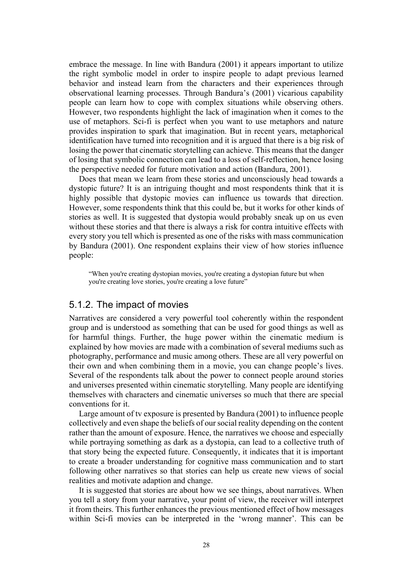embrace the message. In line with Bandura (2001) it appears important to utilize the right symbolic model in order to inspire people to adapt previous learned behavior and instead learn from the characters and their experiences through observational learning processes. Through Bandura's (2001) vicarious capability people can learn how to cope with complex situations while observing others. However, two respondents highlight the lack of imagination when it comes to the use of metaphors. Sci-fi is perfect when you want to use metaphors and nature provides inspiration to spark that imagination. But in recent years, metaphorical identification have turned into recognition and it is argued that there is a big risk of losing the power that cinematic storytelling can achieve. This means that the danger of losing that symbolic connection can lead to a loss of self-reflection, hence losing the perspective needed for future motivation and action (Bandura, 2001).

Does that mean we learn from these stories and unconsciously head towards a dystopic future? It is an intriguing thought and most respondents think that it is highly possible that dystopic movies can influence us towards that direction. However, some respondents think that this could be, but it works for other kinds of stories as well. It is suggested that dystopia would probably sneak up on us even without these stories and that there is always a risk for contra intuitive effects with every story you tell which is presented as one of the risks with mass communication by Bandura (2001). One respondent explains their view of how stories influence people:

"When you're creating dystopian movies, you're creating a dystopian future but when you're creating love stories, you're creating a love future"

#### 5.1.2. The impact of movies

Narratives are considered a very powerful tool coherently within the respondent group and is understood as something that can be used for good things as well as for harmful things. Further, the huge power within the cinematic medium is explained by how movies are made with a combination of several mediums such as photography, performance and music among others. These are all very powerful on their own and when combining them in a movie, you can change people's lives. Several of the respondents talk about the power to connect people around stories and universes presented within cinematic storytelling. Many people are identifying themselves with characters and cinematic universes so much that there are special conventions for it.

Large amount of tv exposure is presented by Bandura (2001) to influence people collectively and even shape the beliefs of our social reality depending on the content rather than the amount of exposure. Hence, the narratives we choose and especially while portraying something as dark as a dystopia, can lead to a collective truth of that story being the expected future. Consequently, it indicates that it is important to create a broader understanding for cognitive mass communication and to start following other narratives so that stories can help us create new views of social realities and motivate adaption and change.

It is suggested that stories are about how we see things, about narratives. When you tell a story from your narrative, your point of view, the receiver will interpret it from theirs. This further enhances the previous mentioned effect of how messages within Sci-fi movies can be interpreted in the 'wrong manner'. This can be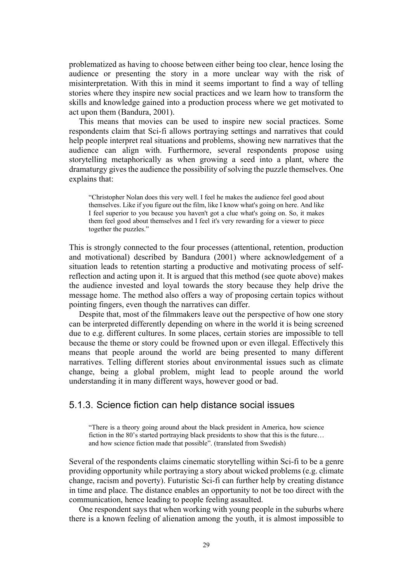problematized as having to choose between either being too clear, hence losing the audience or presenting the story in a more unclear way with the risk of misinterpretation. With this in mind it seems important to find a way of telling stories where they inspire new social practices and we learn how to transform the skills and knowledge gained into a production process where we get motivated to act upon them (Bandura, 2001).

This means that movies can be used to inspire new social practices. Some respondents claim that Sci-fi allows portraying settings and narratives that could help people interpret real situations and problems, showing new narratives that the audience can align with. Furthermore, several respondents propose using storytelling metaphorically as when growing a seed into a plant, where the dramaturgy gives the audience the possibility of solving the puzzle themselves. One explains that:

"Christopher Nolan does this very well. I feel he makes the audience feel good about themselves. Like if you figure out the film, like I know what's going on here. And like I feel superior to you because you haven't got a clue what's going on. So, it makes them feel good about themselves and I feel it's very rewarding for a viewer to piece together the puzzles."

This is strongly connected to the four processes (attentional, retention, production and motivational) described by Bandura (2001) where acknowledgement of a situation leads to retention starting a productive and motivating process of selfreflection and acting upon it. It is argued that this method (see quote above) makes the audience invested and loyal towards the story because they help drive the message home. The method also offers a way of proposing certain topics without pointing fingers, even though the narratives can differ.

Despite that, most of the filmmakers leave out the perspective of how one story can be interpreted differently depending on where in the world it is being screened due to e.g. different cultures. In some places, certain stories are impossible to tell because the theme or story could be frowned upon or even illegal. Effectively this means that people around the world are being presented to many different narratives. Telling different stories about environmental issues such as climate change, being a global problem, might lead to people around the world understanding it in many different ways, however good or bad.

#### 5.1.3. Science fiction can help distance social issues

"There is a theory going around about the black president in America, how science fiction in the 80's started portraying black presidents to show that this is the future… and how science fiction made that possible". (translated from Swedish)

Several of the respondents claims cinematic storytelling within Sci-fi to be a genre providing opportunity while portraying a story about wicked problems (e.g. climate change, racism and poverty). Futuristic Sci-fi can further help by creating distance in time and place. The distance enables an opportunity to not be too direct with the communication, hence leading to people feeling assaulted.

One respondent says that when working with young people in the suburbs where there is a known feeling of alienation among the youth, it is almost impossible to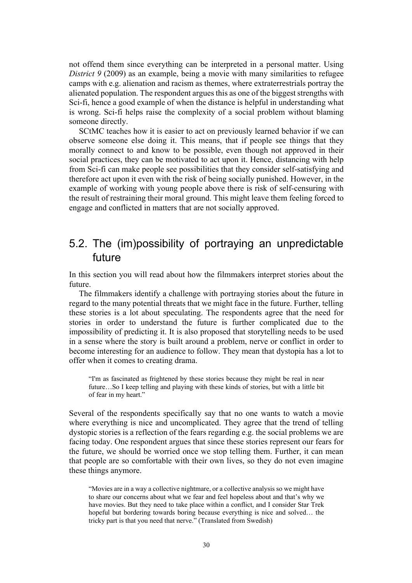not offend them since everything can be interpreted in a personal matter. Using *District 9* (2009) as an example, being a movie with many similarities to refugee camps with e.g. alienation and racism as themes, where extraterrestrials portray the alienated population. The respondent argues this as one of the biggest strengths with Sci-fi, hence a good example of when the distance is helpful in understanding what is wrong. Sci-fi helps raise the complexity of a social problem without blaming someone directly.

SCtMC teaches how it is easier to act on previously learned behavior if we can observe someone else doing it. This means, that if people see things that they morally connect to and know to be possible, even though not approved in their social practices, they can be motivated to act upon it. Hence, distancing with help from Sci-fi can make people see possibilities that they consider self-satisfying and therefore act upon it even with the risk of being socially punished. However, in the example of working with young people above there is risk of self-censuring with the result of restraining their moral ground. This might leave them feeling forced to engage and conflicted in matters that are not socially approved.

### 5.2. The (im)possibility of portraying an unpredictable future

In this section you will read about how the filmmakers interpret stories about the future.

The filmmakers identify a challenge with portraying stories about the future in regard to the many potential threats that we might face in the future. Further, telling these stories is a lot about speculating. The respondents agree that the need for stories in order to understand the future is further complicated due to the impossibility of predicting it. It is also proposed that storytelling needs to be used in a sense where the story is built around a problem, nerve or conflict in order to become interesting for an audience to follow. They mean that dystopia has a lot to offer when it comes to creating drama.

"I'm as fascinated as frightened by these stories because they might be real in near future…So I keep telling and playing with these kinds of stories, but with a little bit of fear in my heart."

Several of the respondents specifically say that no one wants to watch a movie where everything is nice and uncomplicated. They agree that the trend of telling dystopic stories is a reflection of the fears regarding e.g. the social problems we are facing today. One respondent argues that since these stories represent our fears for the future, we should be worried once we stop telling them. Further, it can mean that people are so comfortable with their own lives, so they do not even imagine these things anymore.

"Movies are in a way a collective nightmare, or a collective analysis so we might have to share our concerns about what we fear and feel hopeless about and that's why we have movies. But they need to take place within a conflict, and I consider Star Trek hopeful but bordering towards boring because everything is nice and solved… the tricky part is that you need that nerve." (Translated from Swedish)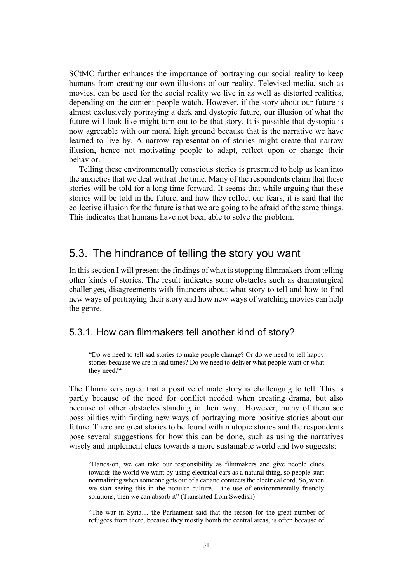SCtMC further enhances the importance of portraying our social reality to keep humans from creating our own illusions of our reality. Televised media, such as movies, can be used for the social reality we live in as well as distorted realities, depending on the content people watch. However, if the story about our future is almost exclusively portraying a dark and dystopic future, our illusion of what the future will look like might turn out to be that story. It is possible that dystopia is now agreeable with our moral high ground because that is the narrative we have learned to live by. A narrow representation of stories might create that narrow illusion, hence not motivating people to adapt, reflect upon or change their behavior.

Telling these environmentally conscious stories is presented to help us lean into the anxieties that we deal with at the time. Many of the respondents claim that these stories will be told for a long time forward. It seems that while arguing that these stories will be told in the future, and how they reflect our fears, it is said that the collective illusion for the future is that we are going to be afraid of the same things. This indicates that humans have not been able to solve the problem.

### 5.3. The hindrance of telling the story you want

In this section I will present the findings of what is stopping filmmakers from telling other kinds of stories. The result indicates some obstacles such as dramaturgical challenges, disagreements with financers about what story to tell and how to find new ways of portraying their story and how new ways of watching movies can help the genre.

#### 5.3.1. How can filmmakers tell another kind of story?

"Do we need to tell sad stories to make people change? Or do we need to tell happy stories because we are in sad times? Do we need to deliver what people want or what they need?"

The filmmakers agree that a positive climate story is challenging to tell. This is partly because of the need for conflict needed when creating drama, but also because of other obstacles standing in their way. However, many of them see possibilities with finding new ways of portraying more positive stories about our future. There are great stories to be found within utopic stories and the respondents pose several suggestions for how this can be done, such as using the narratives wisely and implement clues towards a more sustainable world and two suggests:

"Hands-on, we can take our responsibility as filmmakers and give people clues towards the world we want by using electrical cars as a natural thing, so people start normalizing when someone gets out of a car and connects the electrical cord. So, when we start seeing this in the popular culture… the use of environmentally friendly solutions, then we can absorb it" (Translated from Swedish)

"The war in Syria… the Parliament said that the reason for the great number of refugees from there, because they mostly bomb the central areas, is often because of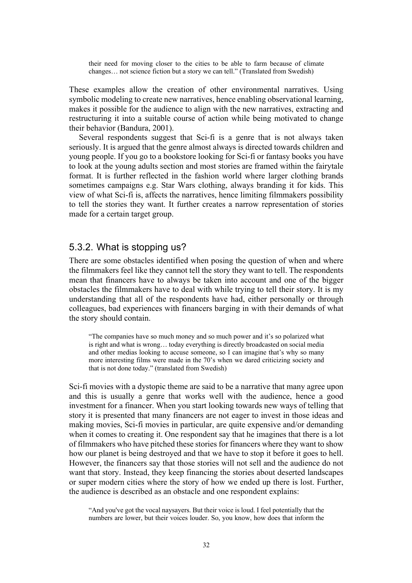their need for moving closer to the cities to be able to farm because of climate changes… not science fiction but a story we can tell." (Translated from Swedish)

These examples allow the creation of other environmental narratives. Using symbolic modeling to create new narratives, hence enabling observational learning, makes it possible for the audience to align with the new narratives, extracting and restructuring it into a suitable course of action while being motivated to change their behavior (Bandura, 2001).

Several respondents suggest that Sci-fi is a genre that is not always taken seriously. It is argued that the genre almost always is directed towards children and young people. If you go to a bookstore looking for Sci-fi or fantasy books you have to look at the young adults section and most stories are framed within the fairytale format. It is further reflected in the fashion world where larger clothing brands sometimes campaigns e.g. Star Wars clothing, always branding it for kids. This view of what Sci-fi is, affects the narratives, hence limiting filmmakers possibility to tell the stories they want. It further creates a narrow representation of stories made for a certain target group.

#### 5.3.2. What is stopping us?

There are some obstacles identified when posing the question of when and where the filmmakers feel like they cannot tell the story they want to tell. The respondents mean that financers have to always be taken into account and one of the bigger obstacles the filmmakers have to deal with while trying to tell their story. It is my understanding that all of the respondents have had, either personally or through colleagues, bad experiences with financers barging in with their demands of what the story should contain.

"The companies have so much money and so much power and it's so polarized what is right and what is wrong… today everything is directly broadcasted on social media and other medias looking to accuse someone, so I can imagine that's why so many more interesting films were made in the 70's when we dared criticizing society and that is not done today." (translated from Swedish)

Sci-fi movies with a dystopic theme are said to be a narrative that many agree upon and this is usually a genre that works well with the audience, hence a good investment for a financer. When you start looking towards new ways of telling that story it is presented that many financers are not eager to invest in those ideas and making movies, Sci-fi movies in particular, are quite expensive and/or demanding when it comes to creating it. One respondent say that he imagines that there is a lot of filmmakers who have pitched these stories for financers where they want to show how our planet is being destroyed and that we have to stop it before it goes to hell. However, the financers say that those stories will not sell and the audience do not want that story. Instead, they keep financing the stories about deserted landscapes or super modern cities where the story of how we ended up there is lost. Further, the audience is described as an obstacle and one respondent explains:

"And you've got the vocal naysayers. But their voice is loud. I feel potentially that the numbers are lower, but their voices louder. So, you know, how does that inform the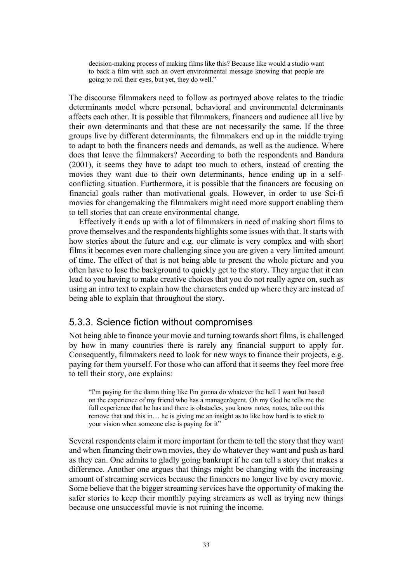decision-making process of making films like this? Because like would a studio want to back a film with such an overt environmental message knowing that people are going to roll their eyes, but yet, they do well."

The discourse filmmakers need to follow as portrayed above relates to the triadic determinants model where personal, behavioral and environmental determinants affects each other. It is possible that filmmakers, financers and audience all live by their own determinants and that these are not necessarily the same. If the three groups live by different determinants, the filmmakers end up in the middle trying to adapt to both the financers needs and demands, as well as the audience. Where does that leave the filmmakers? According to both the respondents and Bandura (2001), it seems they have to adapt too much to others, instead of creating the movies they want due to their own determinants, hence ending up in a selfconflicting situation. Furthermore, it is possible that the financers are focusing on financial goals rather than motivational goals. However, in order to use Sci-fi movies for changemaking the filmmakers might need more support enabling them to tell stories that can create environmental change.

Effectively it ends up with a lot of filmmakers in need of making short films to prove themselves and the respondents highlights some issues with that. It starts with how stories about the future and e.g. our climate is very complex and with short films it becomes even more challenging since you are given a very limited amount of time. The effect of that is not being able to present the whole picture and you often have to lose the background to quickly get to the story. They argue that it can lead to you having to make creative choices that you do not really agree on, such as using an intro text to explain how the characters ended up where they are instead of being able to explain that throughout the story.

#### 5.3.3. Science fiction without compromises

Not being able to finance your movie and turning towards short films, is challenged by how in many countries there is rarely any financial support to apply for. Consequently, filmmakers need to look for new ways to finance their projects, e.g. paying for them yourself. For those who can afford that it seems they feel more free to tell their story, one explains:

"I'm paying for the damn thing like I'm gonna do whatever the hell I want but based on the experience of my friend who has a manager/agent. Oh my God he tells me the full experience that he has and there is obstacles, you know notes, notes, take out this remove that and this in… he is giving me an insight as to like how hard is to stick to your vision when someone else is paying for it"

Several respondents claim it more important for them to tell the story that they want and when financing their own movies, they do whatever they want and push as hard as they can. One admits to gladly going bankrupt if he can tell a story that makes a difference. Another one argues that things might be changing with the increasing amount of streaming services because the financers no longer live by every movie. Some believe that the bigger streaming services have the opportunity of making the safer stories to keep their monthly paying streamers as well as trying new things because one unsuccessful movie is not ruining the income.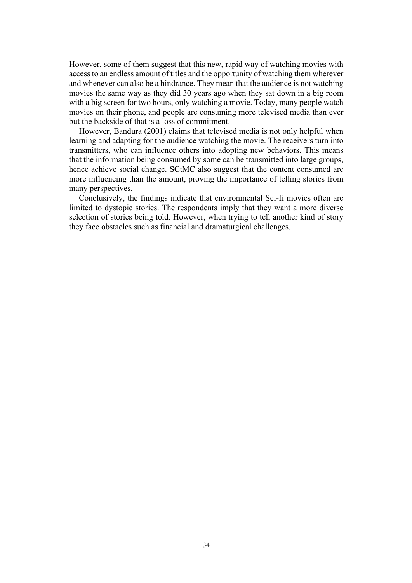However, some of them suggest that this new, rapid way of watching movies with access to an endless amount of titles and the opportunity of watching them wherever and whenever can also be a hindrance. They mean that the audience is not watching movies the same way as they did 30 years ago when they sat down in a big room with a big screen for two hours, only watching a movie. Today, many people watch movies on their phone, and people are consuming more televised media than ever but the backside of that is a loss of commitment.

However, Bandura (2001) claims that televised media is not only helpful when learning and adapting for the audience watching the movie. The receivers turn into transmitters, who can influence others into adopting new behaviors. This means that the information being consumed by some can be transmitted into large groups, hence achieve social change. SCtMC also suggest that the content consumed are more influencing than the amount, proving the importance of telling stories from many perspectives.

Conclusively, the findings indicate that environmental Sci-fi movies often are limited to dystopic stories. The respondents imply that they want a more diverse selection of stories being told. However, when trying to tell another kind of story they face obstacles such as financial and dramaturgical challenges.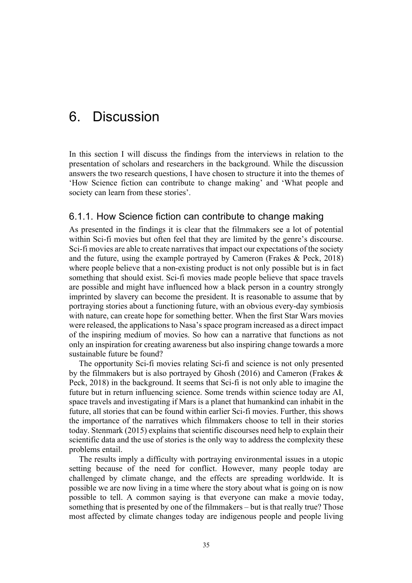## 6. Discussion

In this section I will discuss the findings from the interviews in relation to the presentation of scholars and researchers in the background. While the discussion answers the two research questions, I have chosen to structure it into the themes of 'How Science fiction can contribute to change making' and 'What people and society can learn from these stories'.

#### 6.1.1. How Science fiction can contribute to change making

As presented in the findings it is clear that the filmmakers see a lot of potential within Sci-fi movies but often feel that they are limited by the genre's discourse. Sci-fi movies are able to create narratives that impact our expectations of the society and the future, using the example portrayed by Cameron (Frakes & Peck, 2018) where people believe that a non-existing product is not only possible but is in fact something that should exist. Sci-fi movies made people believe that space travels are possible and might have influenced how a black person in a country strongly imprinted by slavery can become the president. It is reasonable to assume that by portraying stories about a functioning future, with an obvious every-day symbiosis with nature, can create hope for something better. When the first Star Wars movies were released, the applications to Nasa's space program increased as a direct impact of the inspiring medium of movies. So how can a narrative that functions as not only an inspiration for creating awareness but also inspiring change towards a more sustainable future be found?

The opportunity Sci-fi movies relating Sci-fi and science is not only presented by the filmmakers but is also portrayed by Ghosh (2016) and Cameron (Frakes & Peck, 2018) in the background. It seems that Sci-fi is not only able to imagine the future but in return influencing science. Some trends within science today are AI, space travels and investigating if Mars is a planet that humankind can inhabit in the future, all stories that can be found within earlier Sci-fi movies. Further, this shows the importance of the narratives which filmmakers choose to tell in their stories today. Stenmark (2015) explains that scientific discourses need help to explain their scientific data and the use of stories is the only way to address the complexity these problems entail.

The results imply a difficulty with portraying environmental issues in a utopic setting because of the need for conflict. However, many people today are challenged by climate change, and the effects are spreading worldwide. It is possible we are now living in a time where the story about what is going on is now possible to tell. A common saying is that everyone can make a movie today, something that is presented by one of the filmmakers – but is that really true? Those most affected by climate changes today are indigenous people and people living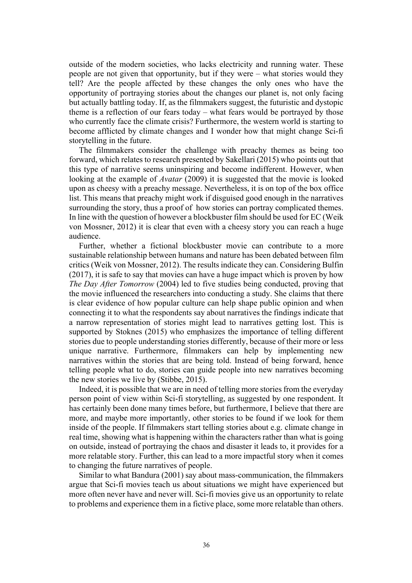outside of the modern societies, who lacks electricity and running water. These people are not given that opportunity, but if they were – what stories would they tell? Are the people affected by these changes the only ones who have the opportunity of portraying stories about the changes our planet is, not only facing but actually battling today. If, as the filmmakers suggest, the futuristic and dystopic theme is a reflection of our fears today – what fears would be portrayed by those who currently face the climate crisis? Furthermore, the western world is starting to become afflicted by climate changes and I wonder how that might change Sci-fi storytelling in the future.

The filmmakers consider the challenge with preachy themes as being too forward, which relates to research presented by Sakellari (2015) who points out that this type of narrative seems uninspiring and become indifferent. However, when looking at the example of *Avatar* (2009) it is suggested that the movie is looked upon as cheesy with a preachy message. Nevertheless, it is on top of the box office list. This means that preachy might work if disguised good enough in the narratives surrounding the story, thus a proof of how stories can portray complicated themes. In line with the question of however a blockbuster film should be used for EC (Weik von Mossner, 2012) it is clear that even with a cheesy story you can reach a huge audience.

Further, whether a fictional blockbuster movie can contribute to a more sustainable relationship between humans and nature has been debated between film critics (Weik von Mossner, 2012). The results indicate they can. Considering Bulfin (2017), it is safe to say that movies can have a huge impact which is proven by how *The Day After Tomorrow* (2004) led to five studies being conducted, proving that the movie influenced the researchers into conducting a study. She claims that there is clear evidence of how popular culture can help shape public opinion and when connecting it to what the respondents say about narratives the findings indicate that a narrow representation of stories might lead to narratives getting lost. This is supported by Stoknes (2015) who emphasizes the importance of telling different stories due to people understanding stories differently, because of their more or less unique narrative. Furthermore, filmmakers can help by implementing new narratives within the stories that are being told. Instead of being forward, hence telling people what to do, stories can guide people into new narratives becoming the new stories we live by (Stibbe, 2015).

Indeed, it is possible that we are in need of telling more stories from the everyday person point of view within Sci-fi storytelling, as suggested by one respondent. It has certainly been done many times before, but furthermore, I believe that there are more, and maybe more importantly, other stories to be found if we look for them inside of the people. If filmmakers start telling stories about e.g. climate change in real time, showing what is happening within the characters rather than what is going on outside, instead of portraying the chaos and disaster it leads to, it provides for a more relatable story. Further, this can lead to a more impactful story when it comes to changing the future narratives of people.

Similar to what Bandura (2001) say about mass-communication, the filmmakers argue that Sci-fi movies teach us about situations we might have experienced but more often never have and never will. Sci-fi movies give us an opportunity to relate to problems and experience them in a fictive place, some more relatable than others.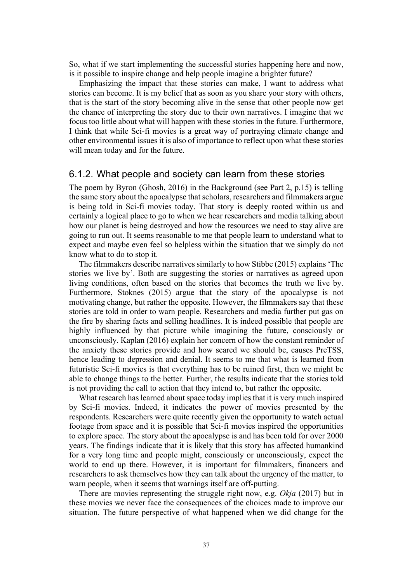So, what if we start implementing the successful stories happening here and now, is it possible to inspire change and help people imagine a brighter future?

Emphasizing the impact that these stories can make, I want to address what stories can become. It is my belief that as soon as you share your story with others, that is the start of the story becoming alive in the sense that other people now get the chance of interpreting the story due to their own narratives. I imagine that we focus too little about what will happen with these stories in the future. Furthermore, I think that while Sci-fi movies is a great way of portraying climate change and other environmental issues it is also of importance to reflect upon what these stories will mean today and for the future.

#### 6.1.2. What people and society can learn from these stories

The poem by Byron (Ghosh, 2016) in the Background (see Part 2, p.15) is telling the same story about the apocalypse that scholars, researchers and filmmakers argue is being told in Sci-fi movies today. That story is deeply rooted within us and certainly a logical place to go to when we hear researchers and media talking about how our planet is being destroyed and how the resources we need to stay alive are going to run out. It seems reasonable to me that people learn to understand what to expect and maybe even feel so helpless within the situation that we simply do not know what to do to stop it.

The filmmakers describe narratives similarly to how Stibbe (2015) explains 'The stories we live by'. Both are suggesting the stories or narratives as agreed upon living conditions, often based on the stories that becomes the truth we live by. Furthermore, Stoknes (2015) argue that the story of the apocalypse is not motivating change, but rather the opposite. However, the filmmakers say that these stories are told in order to warn people. Researchers and media further put gas on the fire by sharing facts and selling headlines. It is indeed possible that people are highly influenced by that picture while imagining the future, consciously or unconsciously. Kaplan (2016) explain her concern of how the constant reminder of the anxiety these stories provide and how scared we should be, causes PreTSS, hence leading to depression and denial. It seems to me that what is learned from futuristic Sci-fi movies is that everything has to be ruined first, then we might be able to change things to the better. Further, the results indicate that the stories told is not providing the call to action that they intend to, but rather the opposite.

What research has learned about space today implies that it is very much inspired by Sci-fi movies. Indeed, it indicates the power of movies presented by the respondents. Researchers were quite recently given the opportunity to watch actual footage from space and it is possible that Sci-fi movies inspired the opportunities to explore space. The story about the apocalypse is and has been told for over 2000 years. The findings indicate that it is likely that this story has affected humankind for a very long time and people might, consciously or unconsciously, expect the world to end up there. However, it is important for filmmakers, financers and researchers to ask themselves how they can talk about the urgency of the matter, to warn people, when it seems that warnings itself are off-putting.

There are movies representing the struggle right now, e.g. *Okja* (2017) but in these movies we never face the consequences of the choices made to improve our situation. The future perspective of what happened when we did change for the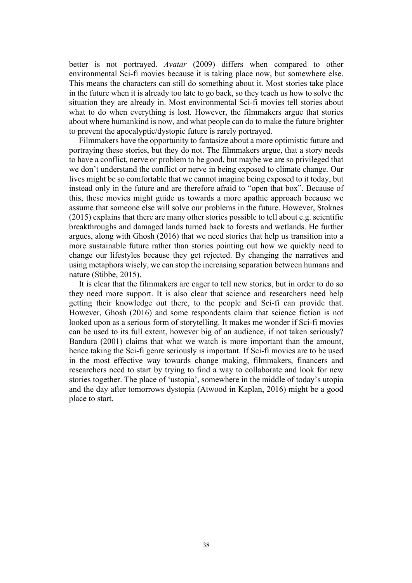better is not portrayed. *Avatar* (2009) differs when compared to other environmental Sci-fi movies because it is taking place now, but somewhere else. This means the characters can still do something about it. Most stories take place in the future when it is already too late to go back, so they teach us how to solve the situation they are already in. Most environmental Sci-fi movies tell stories about what to do when everything is lost. However, the filmmakers argue that stories about where humankind is now, and what people can do to make the future brighter to prevent the apocalyptic/dystopic future is rarely portrayed.

Filmmakers have the opportunity to fantasize about a more optimistic future and portraying these stories, but they do not. The filmmakers argue, that a story needs to have a conflict, nerve or problem to be good, but maybe we are so privileged that we don't understand the conflict or nerve in being exposed to climate change. Our lives might be so comfortable that we cannot imagine being exposed to it today, but instead only in the future and are therefore afraid to "open that box". Because of this, these movies might guide us towards a more apathic approach because we assume that someone else will solve our problems in the future. However, Stoknes (2015) explains that there are many other stories possible to tell about e.g. scientific breakthroughs and damaged lands turned back to forests and wetlands. He further argues, along with Ghosh (2016) that we need stories that help us transition into a more sustainable future rather than stories pointing out how we quickly need to change our lifestyles because they get rejected. By changing the narratives and using metaphors wisely, we can stop the increasing separation between humans and nature (Stibbe, 2015).

It is clear that the filmmakers are eager to tell new stories, but in order to do so they need more support. It is also clear that science and researchers need help getting their knowledge out there, to the people and Sci-fi can provide that. However, Ghosh (2016) and some respondents claim that science fiction is not looked upon as a serious form of storytelling. It makes me wonder if Sci-fi movies can be used to its full extent, however big of an audience, if not taken seriously? Bandura (2001) claims that what we watch is more important than the amount, hence taking the Sci-fi genre seriously is important. If Sci-fi movies are to be used in the most effective way towards change making, filmmakers, financers and researchers need to start by trying to find a way to collaborate and look for new stories together. The place of 'ustopia', somewhere in the middle of today's utopia and the day after tomorrows dystopia (Atwood in Kaplan, 2016) might be a good place to start.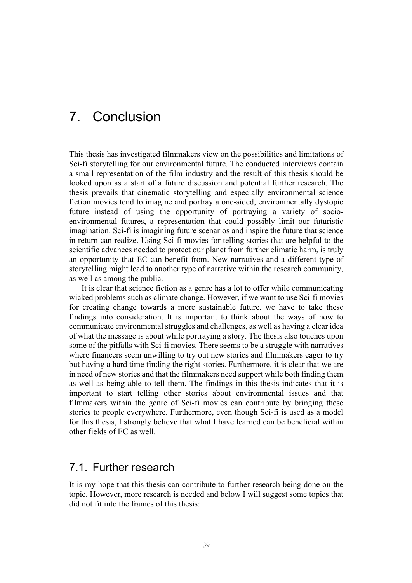## 7. Conclusion

This thesis has investigated filmmakers view on the possibilities and limitations of Sci-fi storytelling for our environmental future. The conducted interviews contain a small representation of the film industry and the result of this thesis should be looked upon as a start of a future discussion and potential further research. The thesis prevails that cinematic storytelling and especially environmental science fiction movies tend to imagine and portray a one-sided, environmentally dystopic future instead of using the opportunity of portraying a variety of socioenvironmental futures, a representation that could possibly limit our futuristic imagination. Sci-fi is imagining future scenarios and inspire the future that science in return can realize. Using Sci-fi movies for telling stories that are helpful to the scientific advances needed to protect our planet from further climatic harm, is truly an opportunity that EC can benefit from. New narratives and a different type of storytelling might lead to another type of narrative within the research community, as well as among the public.

It is clear that science fiction as a genre has a lot to offer while communicating wicked problems such as climate change. However, if we want to use Sci-fi movies for creating change towards a more sustainable future, we have to take these findings into consideration. It is important to think about the ways of how to communicate environmental struggles and challenges, as well as having a clear idea of what the message is about while portraying a story. The thesis also touches upon some of the pitfalls with Sci-fi movies. There seems to be a struggle with narratives where financers seem unwilling to try out new stories and filmmakers eager to try but having a hard time finding the right stories. Furthermore, it is clear that we are in need of new stories and that the filmmakers need support while both finding them as well as being able to tell them. The findings in this thesis indicates that it is important to start telling other stories about environmental issues and that filmmakers within the genre of Sci-fi movies can contribute by bringing these stories to people everywhere. Furthermore, even though Sci-fi is used as a model for this thesis, I strongly believe that what I have learned can be beneficial within other fields of EC as well.

### 7.1. Further research

It is my hope that this thesis can contribute to further research being done on the topic. However, more research is needed and below I will suggest some topics that did not fit into the frames of this thesis: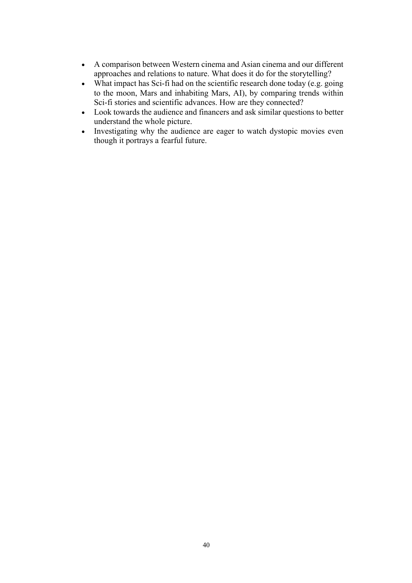- A comparison between Western cinema and Asian cinema and our different approaches and relations to nature. What does it do for the storytelling?
- What impact has Sci-fi had on the scientific research done today (e.g. going to the moon, Mars and inhabiting Mars, AI), by comparing trends within Sci-fi stories and scientific advances. How are they connected?
- Look towards the audience and financers and ask similar questions to better understand the whole picture.
- Investigating why the audience are eager to watch dystopic movies even though it portrays a fearful future.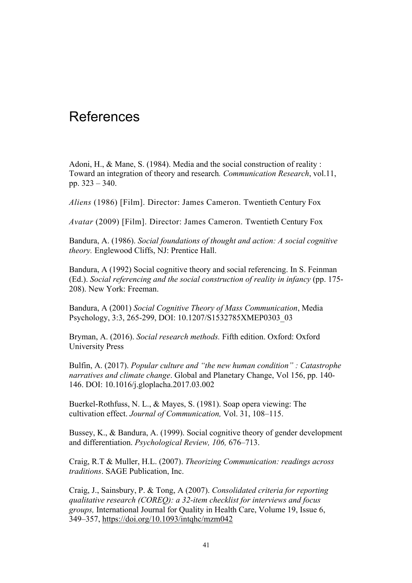## **References**

Adoni, H., & Mane, S. (1984). Media and the social construction of reality : Toward an integration of theory and research*. Communication Research*, vol.11, pp. 323 – 340.

*Aliens* (1986) [Film]. Director: James Cameron. Twentieth Century Fox

*Avatar* (2009) [Film]. Director: James Cameron. Twentieth Century Fox

Bandura, A. (1986). *Social foundations of thought and action: A social cognitive theory.* Englewood Cliffs, NJ: Prentice Hall.

Bandura, A (1992) Social cognitive theory and social referencing. In S. Feinman (Ed.). *Social referencing and the social construction of reality in infancy* (pp. 175- 208). New York: Freeman.

Bandura, A (2001) *Social Cognitive Theory of Mass Communication*, Media Psychology, 3:3, 265-299, DOI: 10.1207/S1532785XMEP0303\_03

Bryman, A. (2016). *Social research methods.* Fifth edition. Oxford: Oxford University Press

Bulfin, A. (2017). *Popular culture and "the new human condition" : Catastrophe narratives and climate change*. Global and Planetary Change, Vol 156, pp. 140- 146. DOI: 10.1016/j.gloplacha.2017.03.002

Buerkel-Rothfuss, N. L., & Mayes, S. (1981). Soap opera viewing: The cultivation effect. *Journal of Communication,* Vol. 31, 108–115.

Bussey, K., & Bandura, A. (1999). Social cognitive theory of gender development and differentiation. *Psychological Review, 106,* 676–713.

Craig, R.T & Muller, H.L. (2007). *Theorizing Communication: readings across traditions*. SAGE Publication, Inc.

Craig, J., Sainsbury, P. & Tong, A (2007). *Consolidated criteria for reporting qualitative research (COREQ): a 32-item checklist for interviews and focus groups,* International Journal for Quality in Health Care, Volume 19, Issue 6, 349–357, https://doi.org/10.1093/intqhc/mzm042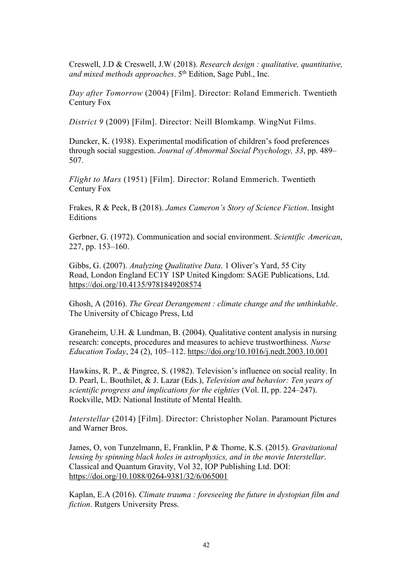Creswell, J.D & Creswell, J.W (2018). *Research design : qualitative, quantitative, and mixed methods approaches*. 5th Edition, Sage Publ., Inc.

*Day after Tomorrow* (2004) [Film]. Director: Roland Emmerich. Twentieth Century Fox

*District 9* (2009) [Film]. Director: Neill Blomkamp. WingNut Films.

Duncker, K. (1938). Experimental modification of children's food preferences through social suggestion. *Journal of Abnormal Social Psychology, 33*, pp. 489– 507.

*Flight to Mars* (1951) [Film]. Director: Roland Emmerich. Twentieth Century Fox

Frakes, R & Peck, B (2018). *James Cameron's Story of Science Fiction*. Insight **Editions** 

Gerbner, G. (1972). Communication and social environment. *Scientific American*, 227, pp. 153–160.

Gibbs, G. (2007). *Analyzing Qualitative Data*. 1 Oliver's Yard, 55 City Road, London England EC1Y 1SP United Kingdom: SAGE Publications, Ltd. https://doi.org/10.4135/9781849208574

Ghosh, A (2016). *The Great Derangement : climate change and the unthinkable*. The University of Chicago Press, Ltd

Graneheim, U.H. & Lundman, B. (2004). Qualitative content analysis in nursing research: concepts, procedures and measures to achieve trustworthiness. *Nurse Education Today*, 24 (2), 105–112. https://doi.org/10.1016/j.nedt.2003.10.001

Hawkins, R. P., & Pingree, S. (1982). Television's influence on social reality. In D. Pearl, L. Bouthilet, & J. Lazar (Eds.), *Television and behavior: Ten years of scientific progress and implications for the eighties (Vol. II, pp. 224–247).* Rockville, MD: National Institute of Mental Health.

*Interstellar* (2014) [Film]. Director: Christopher Nolan. Paramount Pictures and Warner Bros.

James, O, von Tunzelmann, E, Franklin, P & Thorne, K.S. (2015). *Gravitational lensing by spinning black holes in astrophysics, and in the movie Interstellar*. Classical and Quantum Gravity, Vol 32, IOP Publishing Ltd. DOI: https://doi.org/10.1088/0264-9381/32/6/065001

Kaplan, E.A (2016). *Climate trauma : foreseeing the future in dystopian film and fiction*. Rutgers University Press.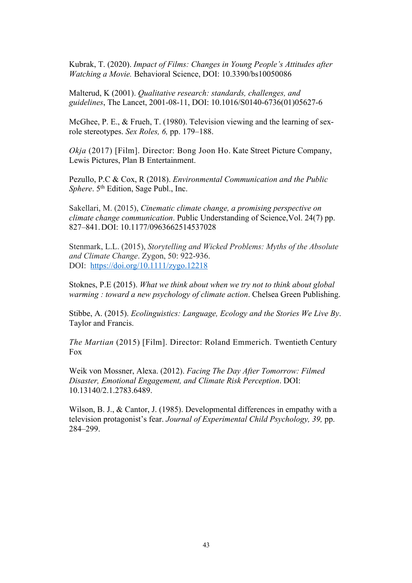Kubrak, T. (2020). *Impact of Films: Changes in Young People's Attitudes after Watching a Movie.* Behavioral Science, DOI: 10.3390/bs10050086

Malterud, K (2001). *Qualitative research: standards, challenges, and guidelines*, The Lancet, 2001-08-11, DOI: 10.1016/S0140-6736(01)05627-6

McGhee, P. E., & Frueh, T. (1980). Television viewing and the learning of sexrole stereotypes. *Sex Roles, 6,* pp. 179–188.

*Okja* (2017) [Film]. Director: Bong Joon Ho. Kate Street Picture Company, Lewis Pictures, Plan B Entertainment.

Pezullo, P.C & Cox, R (2018). *Environmental Communication and the Public Sphere*. 5<sup>th</sup> Edition, Sage Publ., Inc.

Sakellari, M. (2015), *Cinematic climate change, a promising perspective on climate change communication*. Public Understanding of Science,Vol. 24(7) pp. 827–841.DOI: 10.1177/0963662514537028

Stenmark, L.L. (2015), *Storytelling and Wicked Problems: Myths of the Absolute and Climate Change*. Zygon, 50: 922-936. DOI: https://doi.org/10.1111/zygo.12218

Stoknes, P.E (2015). *What we think about when we try not to think about global warming : toward a new psychology of climate action*. Chelsea Green Publishing.

Stibbe, A. (2015). *Ecolinguistics: Language, Ecology and the Stories We Live By*. Taylor and Francis.

*The Martian* (2015) [Film]. Director: Roland Emmerich. Twentieth Century Fox

Weik von Mossner, Alexa. (2012). *Facing The Day After Tomorrow: Filmed Disaster, Emotional Engagement, and Climate Risk Perception*. DOI: 10.13140/2.1.2783.6489.

Wilson, B. J., & Cantor, J. (1985). Developmental differences in empathy with a television protagonist's fear. *Journal of Experimental Child Psychology, 39,* pp. 284–299.